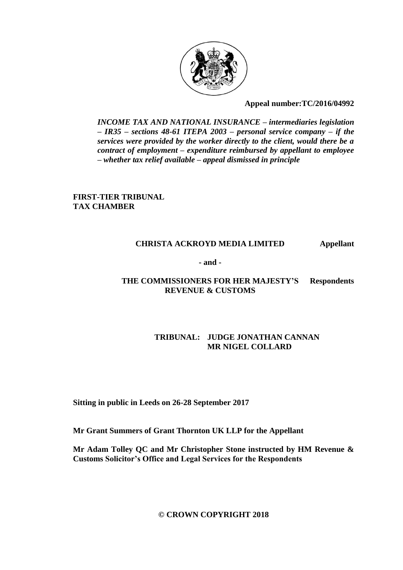

# **Appeal number:TC/2016/04992**

*INCOME TAX AND NATIONAL INSURANCE – intermediaries legislation – IR35 – sections 48-61 ITEPA 2003 – personal service company – if the services were provided by the worker directly to the client, would there be a contract of employment – expenditure reimbursed by appellant to employee – whether tax relief available – appeal dismissed in principle*

**FIRST-TIER TRIBUNAL TAX CHAMBER**

# **CHRISTA ACKROYD MEDIA LIMITED Appellant**

**- and -**

# **THE COMMISSIONERS FOR HER MAJESTY'S Respondents REVENUE & CUSTOMS**

# **TRIBUNAL: JUDGE JONATHAN CANNAN MR NIGEL COLLARD**

**Sitting in public in Leeds on 26-28 September 2017**

**Mr Grant Summers of Grant Thornton UK LLP for the Appellant**

**Mr Adam Tolley QC and Mr Christopher Stone instructed by HM Revenue & Customs Solicitor's Office and Legal Services for the Respondents**

**© CROWN COPYRIGHT 2018**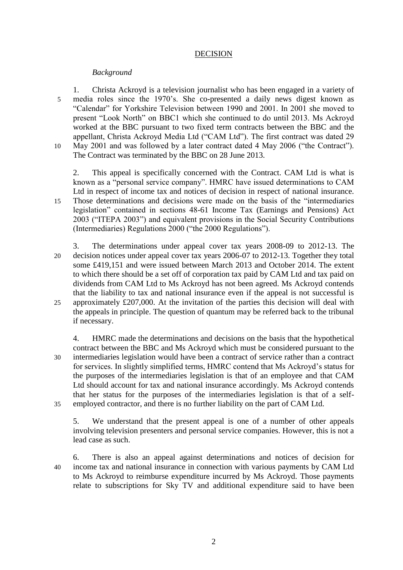# DECISION

# *Background*

1. Christa Ackroyd is a television journalist who has been engaged in a variety of 5 media roles since the 1970's. She co-presented a daily news digest known as "Calendar" for Yorkshire Television between 1990 and 2001. In 2001 she moved to present "Look North" on BBC1 which she continued to do until 2013. Ms Ackroyd worked at the BBC pursuant to two fixed term contracts between the BBC and the appellant, Christa Ackroyd Media Ltd ("CAM Ltd"). The first contract was dated 29 10 May 2001 and was followed by a later contract dated 4 May 2006 ("the Contract"). The Contract was terminated by the BBC on 28 June 2013.

2. This appeal is specifically concerned with the Contract. CAM Ltd is what is known as a "personal service company". HMRC have issued determinations to CAM Ltd in respect of income tax and notices of decision in respect of national insurance. 15 Those determinations and decisions were made on the basis of the "intermediaries legislation" contained in sections 48-61 Income Tax (Earnings and Pensions) Act 2003 ("ITEPA 2003") and equivalent provisions in the Social Security Contributions (Intermediaries) Regulations 2000 ("the 2000 Regulations").

3. The determinations under appeal cover tax years 2008-09 to 2012-13. The 20 decision notices under appeal cover tax years 2006-07 to 2012-13. Together they total some £419,151 and were issued between March 2013 and October 2014. The extent to which there should be a set off of corporation tax paid by CAM Ltd and tax paid on dividends from CAM Ltd to Ms Ackroyd has not been agreed. Ms Ackroyd contends that the liability to tax and national insurance even if the appeal is not successful is 25 approximately £207,000. At the invitation of the parties this decision will deal with the appeals in principle. The question of quantum may be referred back to the tribunal if necessary.

4. HMRC made the determinations and decisions on the basis that the hypothetical contract between the BBC and Ms Ackroyd which must be considered pursuant to the 30 intermediaries legislation would have been a contract of service rather than a contract for services. In slightly simplified terms, HMRC contend that Ms Ackroyd's status for the purposes of the intermediaries legislation is that of an employee and that CAM Ltd should account for tax and national insurance accordingly. Ms Ackroyd contends that her status for the purposes of the intermediaries legislation is that of a self-35 employed contractor, and there is no further liability on the part of CAM Ltd.

5. We understand that the present appeal is one of a number of other appeals involving television presenters and personal service companies. However, this is not a lead case as such.

6. There is also an appeal against determinations and notices of decision for 40 income tax and national insurance in connection with various payments by CAM Ltd to Ms Ackroyd to reimburse expenditure incurred by Ms Ackroyd. Those payments relate to subscriptions for Sky TV and additional expenditure said to have been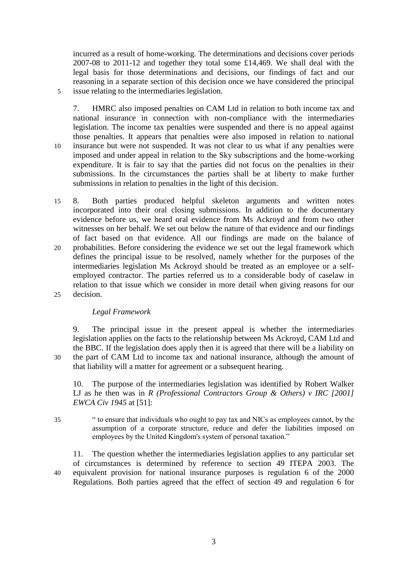incurred as a result of home-working. The determinations and decisions cover periods 2007-08 to 2011-12 and together they total some £14,469. We shall deal with the legal basis for those determinations and decisions, our findings of fact and our reasoning in a separate section of this decision once we have considered the principal 5 issue relating to the intermediaries legislation.

7. HMRC also imposed penalties on CAM Ltd in relation to both income tax and national insurance in connection with non-compliance with the intermediaries legislation. The income tax penalties were suspended and there is no appeal against those penalties. It appears that penalties were also imposed in relation to national 10 insurance but were not suspended. It was not clear to us what if any penalties were imposed and under appeal in relation to the Sky subscriptions and the home-working expenditure. It is fair to say that the parties did not focus on the penalties in their submissions. In the circumstances the parties shall be at liberty to make further submissions in relation to penalties in the light of this decision.

15 8. Both parties produced helpful skeleton arguments and written notes incorporated into their oral closing submissions. In addition to the documentary evidence before us, we heard oral evidence from Ms Ackroyd and from two other witnesses on her behalf. We set out below the nature of that evidence and our findings of fact based on that evidence. All our findings are made on the balance of

20 probabilities. Before considering the evidence we set out the legal framework which defines the principal issue to be resolved, namely whether for the purposes of the intermediaries legislation Ms Ackroyd should be treated as an employee or a selfemployed contractor. The parties referred us to a considerable body of caselaw in relation to that issue which we consider in more detail when giving reasons for our 25 decision.

# *Legal Framework*

9. The principal issue in the present appeal is whether the intermediaries legislation applies on the facts to the relationship between Ms Ackroyd, CAM Ltd and the BBC. If the legislation does apply then it is agreed that there will be a liability on 30 the part of CAM Ltd to income tax and national insurance, although the amount of that liability will a matter for agreement or a subsequent hearing.

10. The purpose of the intermediaries legislation was identified by Robert Walker LJ as he then was in *R (Professional Contractors Group & Others) v IRC [2001] EWCA Civ 1945* at [51]:

35 " to ensure that individuals who ought to pay tax and NICs as employees cannot, by the assumption of a corporate structure, reduce and defer the liabilities imposed on employees by the United Kingdom's system of personal taxation."

11. The question whether the intermediaries legislation applies to any particular set of circumstances is determined by reference to section 49 ITEPA 2003. The 40 equivalent provision for national insurance purposes is regulation 6 of the 2000 Regulations. Both parties agreed that the effect of section 49 and regulation 6 for

3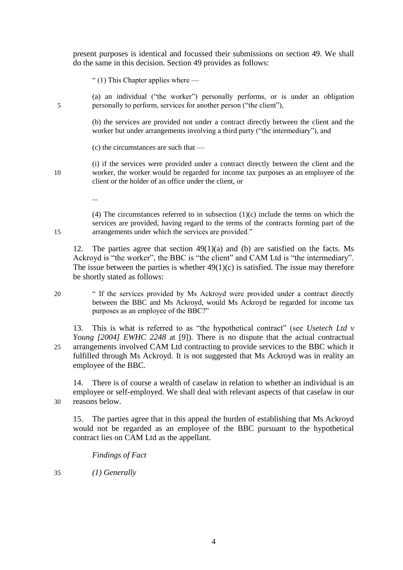present purposes is identical and focussed their submissions on section 49. We shall do the same in this decision. Section 49 provides as follows:

" (1) This Chapter applies where  $-$ 

(a) an individual ("the worker") personally performs, or is under an obligation 5 personally to perform, services for another person ("the client"),

> (b) the services are provided not under a contract directly between the client and the worker but under arrangements involving a third party ("the intermediary"), and

(c) the circumstances are such that —

(i) if the services were provided under a contract directly between the client and the 10 worker, the worker would be regarded for income tax purposes as an employee of the client or the holder of an office under the client, or

(4) The circumstances referred to in subsection  $(1)(c)$  include the terms on which the services are provided, having regard to the terms of the contracts forming part of the 15 arrangements under which the services are provided."

12. The parties agree that section 49(1)(a) and (b) are satisfied on the facts. Ms Ackroyd is "the worker", the BBC is "the client" and CAM Ltd is "the intermediary". The issue between the parties is whether  $49(1)(c)$  is satisfied. The issue may therefore be shortly stated as follows:

20 " If the services provided by Ms Ackroyd were provided under a contract directly between the BBC and Ms Ackroyd, would Ms Ackroyd be regarded for income tax purposes as an employee of the BBC?"

13. This is what is referred to as "the hypothetical contract" (see *Usetech Ltd v Young [2004] EWHC 2248 at [9]*). There is no dispute that the actual contractual 25 arrangements involved CAM Ltd contracting to provide services to the BBC which it fulfilled through Ms Ackroyd. It is not suggested that Ms Ackroyd was in reality an employee of the BBC.

14. There is of course a wealth of caselaw in relation to whether an individual is an employee or self-employed. We shall deal with relevant aspects of that caselaw in our 30 reasons below.

15. The parties agree that in this appeal the burden of establishing that Ms Ackroyd would not be regarded as an employee of the BBC pursuant to the hypothetical contract lies on CAM Ltd as the appellant.

*Findings of Fact*

35 *(1) Generally*

...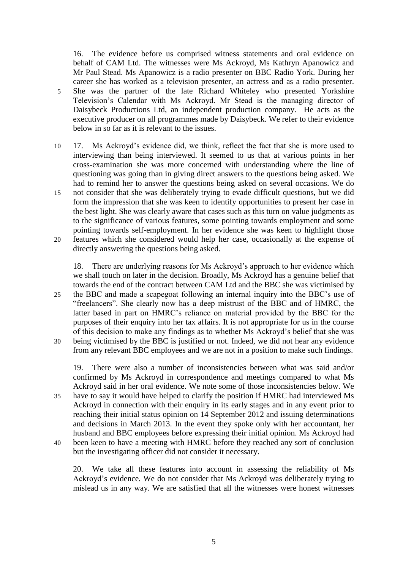16. The evidence before us comprised witness statements and oral evidence on behalf of CAM Ltd. The witnesses were Ms Ackroyd, Ms Kathryn Apanowicz and Mr Paul Stead. Ms Apanowicz is a radio presenter on BBC Radio York. During her career she has worked as a television presenter, an actress and as a radio presenter. 5 She was the partner of the late Richard Whiteley who presented Yorkshire Television's Calendar with Ms Ackroyd. Mr Stead is the managing director of Daisybeck Productions Ltd, an independent production company. He acts as the executive producer on all programmes made by Daisybeck. We refer to their evidence below in so far as it is relevant to the issues.

10 17. Ms Ackroyd's evidence did, we think, reflect the fact that she is more used to interviewing than being interviewed. It seemed to us that at various points in her cross-examination she was more concerned with understanding where the line of questioning was going than in giving direct answers to the questions being asked. We had to remind her to answer the questions being asked on several occasions. We do 15 not consider that she was deliberately trying to evade difficult questions, but we did form the impression that she was keen to identify opportunities to present her case in the best light. She was clearly aware that cases such as this turn on value judgments as to the significance of various features, some pointing towards employment and some pointing towards self-employment. In her evidence she was keen to highlight those 20 features which she considered would help her case, occasionally at the expense of directly answering the questions being asked.

18. There are underlying reasons for Ms Ackroyd's approach to her evidence which we shall touch on later in the decision. Broadly, Ms Ackroyd has a genuine belief that towards the end of the contract between CAM Ltd and the BBC she was victimised by 25 the BBC and made a scapegoat following an internal inquiry into the BBC's use of "freelancers". She clearly now has a deep mistrust of the BBC and of HMRC, the latter based in part on HMRC's reliance on material provided by the BBC for the purposes of their enquiry into her tax affairs. It is not appropriate for us in the course of this decision to make any findings as to whether Ms Ackroyd's belief that she was 30 being victimised by the BBC is justified or not. Indeed, we did not hear any evidence

- from any relevant BBC employees and we are not in a position to make such findings. 19. There were also a number of inconsistencies between what was said and/or
- confirmed by Ms Ackroyd in correspondence and meetings compared to what Ms Ackroyd said in her oral evidence. We note some of those inconsistencies below. We 35 have to say it would have helped to clarify the position if HMRC had interviewed Ms Ackroyd in connection with their enquiry in its early stages and in any event prior to reaching their initial status opinion on 14 September 2012 and issuing determinations and decisions in March 2013. In the event they spoke only with her accountant, her husband and BBC employees before expressing their initial opinion. Ms Ackroyd had 40 been keen to have a meeting with HMRC before they reached any sort of conclusion
- but the investigating officer did not consider it necessary.

20. We take all these features into account in assessing the reliability of Ms Ackroyd's evidence. We do not consider that Ms Ackroyd was deliberately trying to mislead us in any way. We are satisfied that all the witnesses were honest witnesses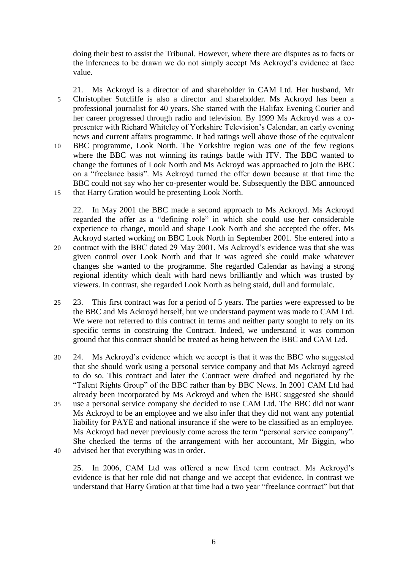doing their best to assist the Tribunal. However, where there are disputes as to facts or the inferences to be drawn we do not simply accept Ms Ackroyd's evidence at face value.

21. Ms Ackroyd is a director of and shareholder in CAM Ltd. Her husband, Mr 5 Christopher Sutcliffe is also a director and shareholder. Ms Ackroyd has been a professional journalist for 40 years. She started with the Halifax Evening Courier and her career progressed through radio and television. By 1999 Ms Ackroyd was a copresenter with Richard Whiteley of Yorkshire Television's Calendar, an early evening news and current affairs programme. It had ratings well above those of the equivalent 10 BBC programme, Look North. The Yorkshire region was one of the few regions where the BBC was not winning its ratings battle with ITV. The BBC wanted to change the fortunes of Look North and Ms Ackroyd was approached to join the BBC on a "freelance basis". Ms Ackroyd turned the offer down because at that time the BBC could not say who her co-presenter would be. Subsequently the BBC announced 15 that Harry Gration would be presenting Look North.

22. In May 2001 the BBC made a second approach to Ms Ackroyd. Ms Ackroyd regarded the offer as a "defining role" in which she could use her considerable experience to change, mould and shape Look North and she accepted the offer. Ms Ackroyd started working on BBC Look North in September 2001. She entered into a 20 contract with the BBC dated 29 May 2001. Ms Ackroyd's evidence was that she was given control over Look North and that it was agreed she could make whatever

- changes she wanted to the programme. She regarded Calendar as having a strong regional identity which dealt with hard news brilliantly and which was trusted by viewers. In contrast, she regarded Look North as being staid, dull and formulaic.
- 25 23. This first contract was for a period of 5 years. The parties were expressed to be the BBC and Ms Ackroyd herself, but we understand payment was made to CAM Ltd. We were not referred to this contract in terms and neither party sought to rely on its specific terms in construing the Contract. Indeed, we understand it was common ground that this contract should be treated as being between the BBC and CAM Ltd.
- 30 24. Ms Ackroyd's evidence which we accept is that it was the BBC who suggested that she should work using a personal service company and that Ms Ackroyd agreed to do so. This contract and later the Contract were drafted and negotiated by the "Talent Rights Group" of the BBC rather than by BBC News. In 2001 CAM Ltd had already been incorporated by Ms Ackroyd and when the BBC suggested she should 35 use a personal service company she decided to use CAM Ltd. The BBC did not want Ms Ackroyd to be an employee and we also infer that they did not want any potential liability for PAYE and national insurance if she were to be classified as an employee. Ms Ackroyd had never previously come across the term "personal service company". She checked the terms of the arrangement with her accountant, Mr Biggin, who 40 advised her that everything was in order.

25. In 2006, CAM Ltd was offered a new fixed term contract. Ms Ackroyd's evidence is that her role did not change and we accept that evidence. In contrast we understand that Harry Gration at that time had a two year "freelance contract" but that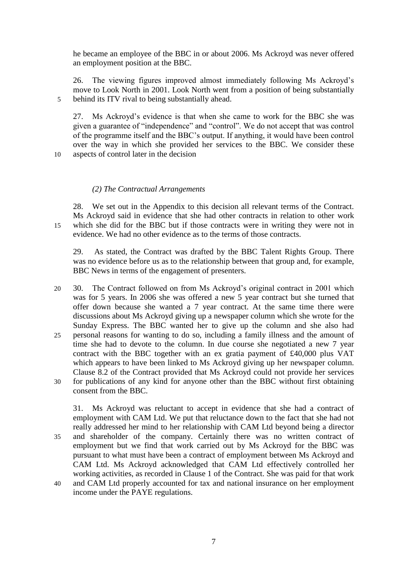he became an employee of the BBC in or about 2006. Ms Ackroyd was never offered an employment position at the BBC.

26. The viewing figures improved almost immediately following Ms Ackroyd's move to Look North in 2001. Look North went from a position of being substantially 5 behind its ITV rival to being substantially ahead.

27. Ms Ackroyd's evidence is that when she came to work for the BBC she was given a guarantee of "independence" and "control". We do not accept that was control of the programme itself and the BBC's output. If anything, it would have been control over the way in which she provided her services to the BBC. We consider these

10 aspects of control later in the decision

# *(2) The Contractual Arrangements*

28. We set out in the Appendix to this decision all relevant terms of the Contract. Ms Ackroyd said in evidence that she had other contracts in relation to other work 15 which she did for the BBC but if those contracts were in writing they were not in evidence. We had no other evidence as to the terms of those contracts.

29. As stated, the Contract was drafted by the BBC Talent Rights Group. There was no evidence before us as to the relationship between that group and, for example, BBC News in terms of the engagement of presenters.

20 30. The Contract followed on from Ms Ackroyd's original contract in 2001 which was for 5 years. In 2006 she was offered a new 5 year contract but she turned that offer down because she wanted a 7 year contract. At the same time there were discussions about Ms Ackroyd giving up a newspaper column which she wrote for the Sunday Express. The BBC wanted her to give up the column and she also had 25 personal reasons for wanting to do so, including a family illness and the amount of time she had to devote to the column. In due course she negotiated a new 7 year contract with the BBC together with an ex gratia payment of £40,000 plus VAT which appears to have been linked to Ms Ackroyd giving up her newspaper column. Clause 8.2 of the Contract provided that Ms Ackroyd could not provide her services 30 for publications of any kind for anyone other than the BBC without first obtaining consent from the BBC.

31. Ms Ackroyd was reluctant to accept in evidence that she had a contract of employment with CAM Ltd. We put that reluctance down to the fact that she had not really addressed her mind to her relationship with CAM Ltd beyond being a director 35 and shareholder of the company. Certainly there was no written contract of employment but we find that work carried out by Ms Ackroyd for the BBC was pursuant to what must have been a contract of employment between Ms Ackroyd and CAM Ltd. Ms Ackroyd acknowledged that CAM Ltd effectively controlled her working activities, as recorded in Clause 1 of the Contract. She was paid for that work 40 and CAM Ltd properly accounted for tax and national insurance on her employment

income under the PAYE regulations.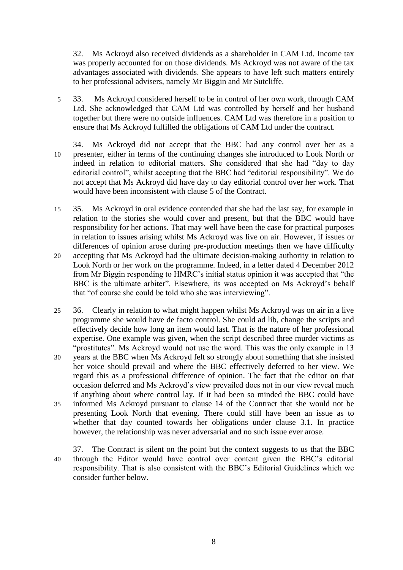32. Ms Ackroyd also received dividends as a shareholder in CAM Ltd. Income tax was properly accounted for on those dividends. Ms Ackroyd was not aware of the tax advantages associated with dividends. She appears to have left such matters entirely to her professional advisers, namely Mr Biggin and Mr Sutcliffe.

- 5 33. Ms Ackroyd considered herself to be in control of her own work, through CAM Ltd. She acknowledged that CAM Ltd was controlled by herself and her husband together but there were no outside influences. CAM Ltd was therefore in a position to ensure that Ms Ackroyd fulfilled the obligations of CAM Ltd under the contract.
- 34. Ms Ackroyd did not accept that the BBC had any control over her as a 10 presenter, either in terms of the continuing changes she introduced to Look North or indeed in relation to editorial matters. She considered that she had "day to day editorial control", whilst accepting that the BBC had "editorial responsibility". We do not accept that Ms Ackroyd did have day to day editorial control over her work. That would have been inconsistent with clause 5 of the Contract.
- 15 35. Ms Ackroyd in oral evidence contended that she had the last say, for example in relation to the stories she would cover and present, but that the BBC would have responsibility for her actions. That may well have been the case for practical purposes in relation to issues arising whilst Ms Ackroyd was live on air. However, if issues or differences of opinion arose during pre-production meetings then we have difficulty 20 accepting that Ms Ackroyd had the ultimate decision-making authority in relation to
- Look North or her work on the programme. Indeed, in a letter dated 4 December 2012 from Mr Biggin responding to HMRC's initial status opinion it was accepted that "the BBC is the ultimate arbiter". Elsewhere, its was accepted on Ms Ackroyd's behalf that "of course she could be told who she was interviewing".
- 25 36. Clearly in relation to what might happen whilst Ms Ackroyd was on air in a live programme she would have de facto control. She could ad lib, change the scripts and effectively decide how long an item would last. That is the nature of her professional expertise. One example was given, when the script described three murder victims as "prostitutes". Ms Ackroyd would not use the word. This was the only example in 13
- 30 years at the BBC when Ms Ackroyd felt so strongly about something that she insisted her voice should prevail and where the BBC effectively deferred to her view. We regard this as a professional difference of opinion. The fact that the editor on that occasion deferred and Ms Ackroyd's view prevailed does not in our view reveal much if anything about where control lay. If it had been so minded the BBC could have
- 35 informed Ms Ackroyd pursuant to clause 14 of the Contract that she would not be presenting Look North that evening. There could still have been an issue as to whether that day counted towards her obligations under clause 3.1. In practice however, the relationship was never adversarial and no such issue ever arose.
- 37. The Contract is silent on the point but the context suggests to us that the BBC 40 through the Editor would have control over content given the BBC's editorial responsibility. That is also consistent with the BBC's Editorial Guidelines which we consider further below.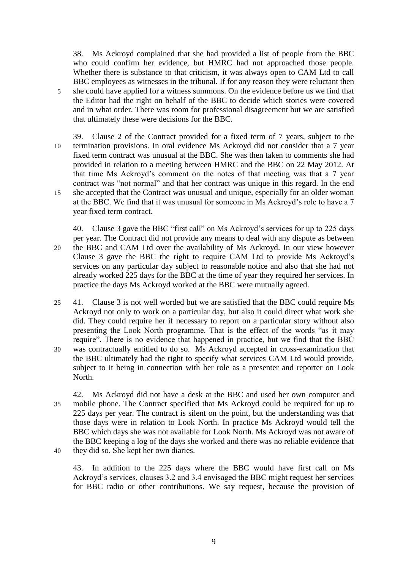38. Ms Ackroyd complained that she had provided a list of people from the BBC who could confirm her evidence, but HMRC had not approached those people. Whether there is substance to that criticism, it was always open to CAM Ltd to call BBC employees as witnesses in the tribunal. If for any reason they were reluctant then 5 she could have applied for a witness summons. On the evidence before us we find that the Editor had the right on behalf of the BBC to decide which stories were covered and in what order. There was room for professional disagreement but we are satisfied that ultimately these were decisions for the BBC.

39. Clause 2 of the Contract provided for a fixed term of 7 years, subject to the 10 termination provisions. In oral evidence Ms Ackroyd did not consider that a 7 year fixed term contract was unusual at the BBC. She was then taken to comments she had provided in relation to a meeting between HMRC and the BBC on 22 May 2012. At that time Ms Ackroyd's comment on the notes of that meeting was that a 7 year contract was "not normal" and that her contract was unique in this regard. In the end 15 she accepted that the Contract was unusual and unique, especially for an older woman at the BBC. We find that it was unusual for someone in Ms Ackroyd's role to have a 7 year fixed term contract.

40. Clause 3 gave the BBC "first call" on Ms Ackroyd's services for up to 225 days per year. The Contract did not provide any means to deal with any dispute as between 20 the BBC and CAM Ltd over the availability of Ms Ackroyd. In our view however Clause 3 gave the BBC the right to require CAM Ltd to provide Ms Ackroyd's services on any particular day subject to reasonable notice and also that she had not already worked 225 days for the BBC at the time of year they required her services. In practice the days Ms Ackroyd worked at the BBC were mutually agreed.

25 41. Clause 3 is not well worded but we are satisfied that the BBC could require Ms Ackroyd not only to work on a particular day, but also it could direct what work she did. They could require her if necessary to report on a particular story without also presenting the Look North programme. That is the effect of the words "as it may require". There is no evidence that happened in practice, but we find that the BBC 30 was contractually entitled to do so. Ms Ackroyd accepted in cross-examination that the BBC ultimately had the right to specify what services CAM Ltd would provide, subject to it being in connection with her role as a presenter and reporter on Look North.

42. Ms Ackroyd did not have a desk at the BBC and used her own computer and 35 mobile phone. The Contract specified that Ms Ackroyd could be required for up to 225 days per year. The contract is silent on the point, but the understanding was that those days were in relation to Look North. In practice Ms Ackroyd would tell the BBC which days she was not available for Look North. Ms Ackroyd was not aware of the BBC keeping a log of the days she worked and there was no reliable evidence that 40 they did so. She kept her own diaries.

43. In addition to the 225 days where the BBC would have first call on Ms Ackroyd's services, clauses 3.2 and 3.4 envisaged the BBC might request her services for BBC radio or other contributions. We say request, because the provision of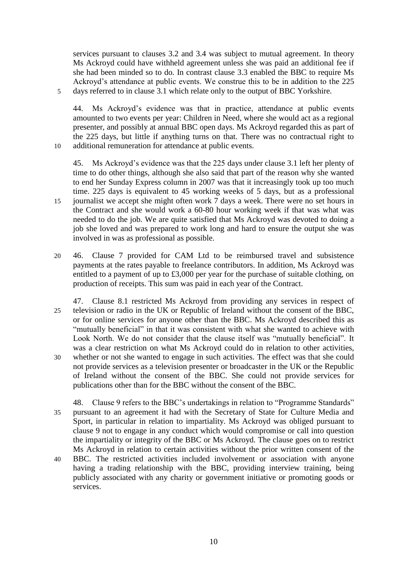services pursuant to clauses 3.2 and 3.4 was subject to mutual agreement. In theory Ms Ackroyd could have withheld agreement unless she was paid an additional fee if she had been minded so to do. In contrast clause 3.3 enabled the BBC to require Ms Ackroyd's attendance at public events. We construe this to be in addition to the 225 5 days referred to in clause 3.1 which relate only to the output of BBC Yorkshire.

44. Ms Ackroyd's evidence was that in practice, attendance at public events amounted to two events per year: Children in Need, where she would act as a regional presenter, and possibly at annual BBC open days. Ms Ackroyd regarded this as part of the 225 days, but little if anything turns on that. There was no contractual right to 10 additional remuneration for attendance at public events.

45. Ms Ackroyd's evidence was that the 225 days under clause 3.1 left her plenty of time to do other things, although she also said that part of the reason why she wanted to end her Sunday Express column in 2007 was that it increasingly took up too much time. 225 days is equivalent to 45 working weeks of 5 days, but as a professional

- 15 journalist we accept she might often work 7 days a week. There were no set hours in the Contract and she would work a 60-80 hour working week if that was what was needed to do the job. We are quite satisfied that Ms Ackroyd was devoted to doing a job she loved and was prepared to work long and hard to ensure the output she was involved in was as professional as possible.
- 20 46. Clause 7 provided for CAM Ltd to be reimbursed travel and subsistence payments at the rates payable to freelance contributors. In addition, Ms Ackroyd was entitled to a payment of up to £3,000 per year for the purchase of suitable clothing, on production of receipts. This sum was paid in each year of the Contract.
- 47. Clause 8.1 restricted Ms Ackroyd from providing any services in respect of 25 television or radio in the UK or Republic of Ireland without the consent of the BBC, or for online services for anyone other than the BBC. Ms Ackroyd described this as "mutually beneficial" in that it was consistent with what she wanted to achieve with Look North. We do not consider that the clause itself was "mutually beneficial". It was a clear restriction on what Ms Ackroyd could do in relation to other activities, 30 whether or not she wanted to engage in such activities. The effect was that she could not provide services as a television presenter or broadcaster in the UK or the Republic of Ireland without the consent of the BBC. She could not provide services for publications other than for the BBC without the consent of the BBC.
- 48. Clause 9 refers to the BBC's undertakings in relation to "Programme Standards" 35 pursuant to an agreement it had with the Secretary of State for Culture Media and Sport, in particular in relation to impartiality. Ms Ackroyd was obliged pursuant to clause 9 not to engage in any conduct which would compromise or call into question the impartiality or integrity of the BBC or Ms Ackroyd. The clause goes on to restrict Ms Ackroyd in relation to certain activities without the prior written consent of the
- 40 BBC. The restricted activities included involvement or association with anyone having a trading relationship with the BBC, providing interview training, being publicly associated with any charity or government initiative or promoting goods or services.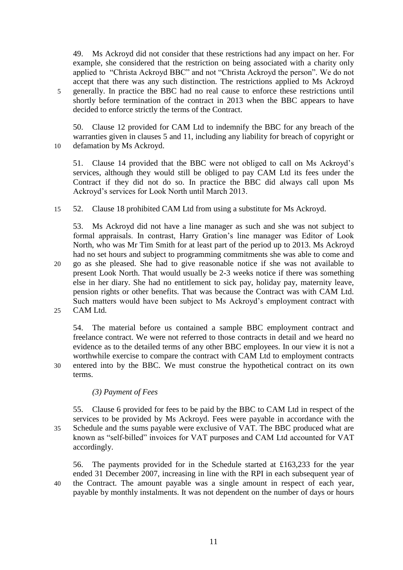49. Ms Ackroyd did not consider that these restrictions had any impact on her. For example, she considered that the restriction on being associated with a charity only applied to "Christa Ackroyd BBC" and not "Christa Ackroyd the person". We do not accept that there was any such distinction. The restrictions applied to Ms Ackroyd 5 generally. In practice the BBC had no real cause to enforce these restrictions until shortly before termination of the contract in 2013 when the BBC appears to have decided to enforce strictly the terms of the Contract.

50. Clause 12 provided for CAM Ltd to indemnify the BBC for any breach of the warranties given in clauses 5 and 11, including any liability for breach of copyright or 10 defamation by Ms Ackroyd.

51. Clause 14 provided that the BBC were not obliged to call on Ms Ackroyd's services, although they would still be obliged to pay CAM Ltd its fees under the Contract if they did not do so. In practice the BBC did always call upon Ms Ackroyd's services for Look North until March 2013.

15 52. Clause 18 prohibited CAM Ltd from using a substitute for Ms Ackroyd.

53. Ms Ackroyd did not have a line manager as such and she was not subject to formal appraisals. In contrast, Harry Gration's line manager was Editor of Look North, who was Mr Tim Smith for at least part of the period up to 2013. Ms Ackroyd had no set hours and subject to programming commitments she was able to come and 20 go as she pleased. She had to give reasonable notice if she was not available to present Look North. That would usually be 2-3 weeks notice if there was something else in her diary. She had no entitlement to sick pay, holiday pay, maternity leave, pension rights or other benefits. That was because the Contract was with CAM Ltd. Such matters would have been subject to Ms Ackroyd's employment contract with

25 CAM Ltd.

54. The material before us contained a sample BBC employment contract and freelance contract. We were not referred to those contracts in detail and we heard no evidence as to the detailed terms of any other BBC employees. In our view it is not a worthwhile exercise to compare the contract with CAM Ltd to employment contracts 30 entered into by the BBC. We must construe the hypothetical contract on its own terms.

# *(3) Payment of Fees*

55. Clause 6 provided for fees to be paid by the BBC to CAM Ltd in respect of the services to be provided by Ms Ackroyd. Fees were payable in accordance with the 35 Schedule and the sums payable were exclusive of VAT. The BBC produced what are known as "self-billed" invoices for VAT purposes and CAM Ltd accounted for VAT accordingly.

56. The payments provided for in the Schedule started at £163,233 for the year ended 31 December 2007, increasing in line with the RPI in each subsequent year of 40 the Contract. The amount payable was a single amount in respect of each year, payable by monthly instalments. It was not dependent on the number of days or hours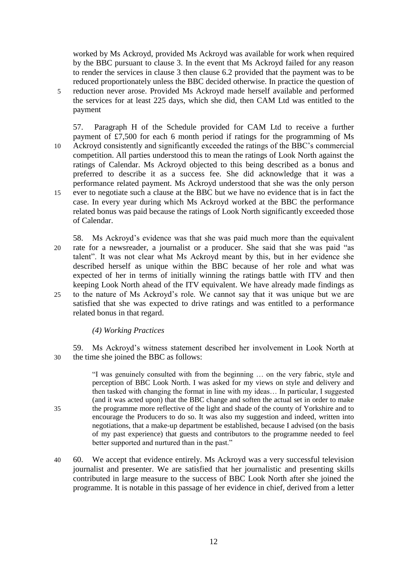worked by Ms Ackroyd, provided Ms Ackroyd was available for work when required by the BBC pursuant to clause 3. In the event that Ms Ackroyd failed for any reason to render the services in clause 3 then clause 6.2 provided that the payment was to be reduced proportionately unless the BBC decided otherwise. In practice the question of 5 reduction never arose. Provided Ms Ackroyd made herself available and performed the services for at least 225 days, which she did, then CAM Ltd was entitled to the payment

57. Paragraph H of the Schedule provided for CAM Ltd to receive a further payment of £7,500 for each 6 month period if ratings for the programming of Ms 10 Ackroyd consistently and significantly exceeded the ratings of the BBC's commercial competition. All parties understood this to mean the ratings of Look North against the ratings of Calendar. Ms Ackroyd objected to this being described as a bonus and preferred to describe it as a success fee. She did acknowledge that it was a performance related payment. Ms Ackroyd understood that she was the only person 15 ever to negotiate such a clause at the BBC but we have no evidence that is in fact the case. In every year during which Ms Ackroyd worked at the BBC the performance related bonus was paid because the ratings of Look North significantly exceeded those of Calendar.

58. Ms Ackroyd's evidence was that she was paid much more than the equivalent 20 rate for a newsreader, a journalist or a producer. She said that she was paid "as talent". It was not clear what Ms Ackroyd meant by this, but in her evidence she described herself as unique within the BBC because of her role and what was expected of her in terms of initially winning the ratings battle with ITV and then keeping Look North ahead of the ITV equivalent. We have already made findings as 25 to the nature of Ms Ackroyd's role. We cannot say that it was unique but we are satisfied that she was expected to drive ratings and was entitled to a performance related bonus in that regard.

# *(4) Working Practices*

59. Ms Ackroyd's witness statement described her involvement in Look North at 30 the time she joined the BBC as follows:

"I was genuinely consulted with from the beginning … on the very fabric, style and perception of BBC Look North. I was asked for my views on style and delivery and then tasked with changing the format in line with my ideas… In particular, I suggested (and it was acted upon) that the BBC change and soften the actual set in order to make 35 the programme more reflective of the light and shade of the county of Yorkshire and to encourage the Producers to do so. It was also my suggestion and indeed, written into negotiations, that a make-up department be established, because I advised (on the basis of my past experience) that guests and contributors to the programme needed to feel better supported and nurtured than in the past."

40 60. We accept that evidence entirely. Ms Ackroyd was a very successful television journalist and presenter. We are satisfied that her journalistic and presenting skills contributed in large measure to the success of BBC Look North after she joined the programme. It is notable in this passage of her evidence in chief, derived from a letter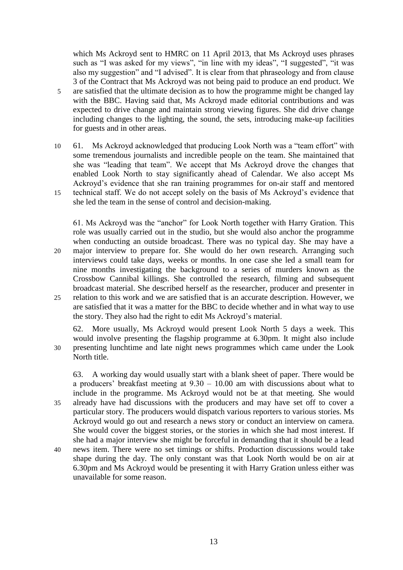which Ms Ackroyd sent to HMRC on 11 April 2013, that Ms Ackroyd uses phrases such as "I was asked for my views", "in line with my ideas", "I suggested", "it was also my suggestion" and "I advised". It is clear from that phraseology and from clause 3 of the Contract that Ms Ackroyd was not being paid to produce an end product. We 5 are satisfied that the ultimate decision as to how the programme might be changed lay with the BBC. Having said that, Ms Ackroyd made editorial contributions and was expected to drive change and maintain strong viewing figures. She did drive change including changes to the lighting, the sound, the sets, introducing make-up facilities for guests and in other areas.

10 61. Ms Ackroyd acknowledged that producing Look North was a "team effort" with some tremendous journalists and incredible people on the team. She maintained that she was "leading that team". We accept that Ms Ackroyd drove the changes that enabled Look North to stay significantly ahead of Calendar. We also accept Ms Ackroyd's evidence that she ran training programmes for on-air staff and mentored 15 technical staff. We do not accept solely on the basis of Ms Ackroyd's evidence that she led the team in the sense of control and decision-making.

61. Ms Ackroyd was the "anchor" for Look North together with Harry Gration. This role was usually carried out in the studio, but she would also anchor the programme when conducting an outside broadcast. There was no typical day. She may have a 20 major interview to prepare for. She would do her own research. Arranging such interviews could take days, weeks or months. In one case she led a small team for nine months investigating the background to a series of murders known as the Crossbow Cannibal killings. She controlled the research, filming and subsequent broadcast material. She described herself as the researcher, producer and presenter in 25 relation to this work and we are satisfied that is an accurate description. However, we are satisfied that it was a matter for the BBC to decide whether and in what way to use the story. They also had the right to edit Ms Ackroyd's material.

62. More usually, Ms Ackroyd would present Look North 5 days a week. This would involve presenting the flagship programme at 6.30pm. It might also include 30 presenting lunchtime and late night news programmes which came under the Look North title.

63. A working day would usually start with a blank sheet of paper. There would be a producers' breakfast meeting at 9.30 – 10.00 am with discussions about what to include in the programme. Ms Ackroyd would not be at that meeting. She would 35 already have had discussions with the producers and may have set off to cover a particular story. The producers would dispatch various reporters to various stories. Ms Ackroyd would go out and research a news story or conduct an interview on camera. She would cover the biggest stories, or the stories in which she had most interest. If she had a major interview she might be forceful in demanding that it should be a lead 40 news item. There were no set timings or shifts. Production discussions would take shape during the day. The only constant was that Look North would be on air at

6.30pm and Ms Ackroyd would be presenting it with Harry Gration unless either was unavailable for some reason.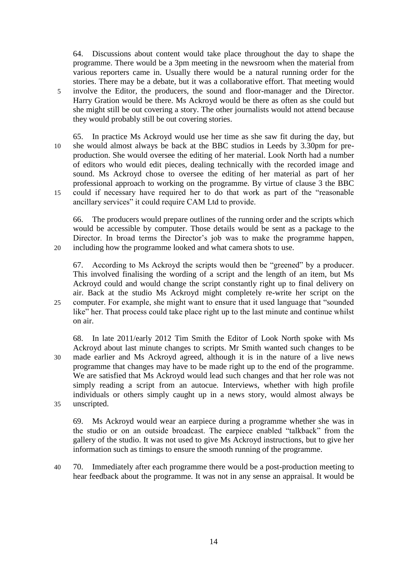64. Discussions about content would take place throughout the day to shape the programme. There would be a 3pm meeting in the newsroom when the material from various reporters came in. Usually there would be a natural running order for the stories. There may be a debate, but it was a collaborative effort. That meeting would 5 involve the Editor, the producers, the sound and floor-manager and the Director. Harry Gration would be there. Ms Ackroyd would be there as often as she could but she might still be out covering a story. The other journalists would not attend because they would probably still be out covering stories.

65. In practice Ms Ackroyd would use her time as she saw fit during the day, but 10 she would almost always be back at the BBC studios in Leeds by 3.30pm for preproduction. She would oversee the editing of her material. Look North had a number of editors who would edit pieces, dealing technically with the recorded image and sound. Ms Ackroyd chose to oversee the editing of her material as part of her professional approach to working on the programme. By virtue of clause 3 the BBC 15 could if necessary have required her to do that work as part of the "reasonable ancillary services" it could require CAM Ltd to provide.

66. The producers would prepare outlines of the running order and the scripts which would be accessible by computer. Those details would be sent as a package to the Director. In broad terms the Director's job was to make the programme happen, 20 including how the programme looked and what camera shots to use.

67. According to Ms Ackroyd the scripts would then be "greened" by a producer. This involved finalising the wording of a script and the length of an item, but Ms Ackroyd could and would change the script constantly right up to final delivery on air. Back at the studio Ms Ackroyd might completely re-write her script on the 25 computer. For example, she might want to ensure that it used language that "sounded like" her. That process could take place right up to the last minute and continue whilst on air.

68. In late 2011/early 2012 Tim Smith the Editor of Look North spoke with Ms Ackroyd about last minute changes to scripts. Mr Smith wanted such changes to be 30 made earlier and Ms Ackroyd agreed, although it is in the nature of a live news programme that changes may have to be made right up to the end of the programme. We are satisfied that Ms Ackroyd would lead such changes and that her role was not simply reading a script from an autocue. Interviews, whether with high profile individuals or others simply caught up in a news story, would almost always be 35 unscripted.

69. Ms Ackroyd would wear an earpiece during a programme whether she was in the studio or on an outside broadcast. The earpiece enabled "talkback" from the gallery of the studio. It was not used to give Ms Ackroyd instructions, but to give her information such as timings to ensure the smooth running of the programme.

- 40 70. Immediately after each programme there would be a post-production meeting to hear feedback about the programme. It was not in any sense an appraisal. It would be
	- 14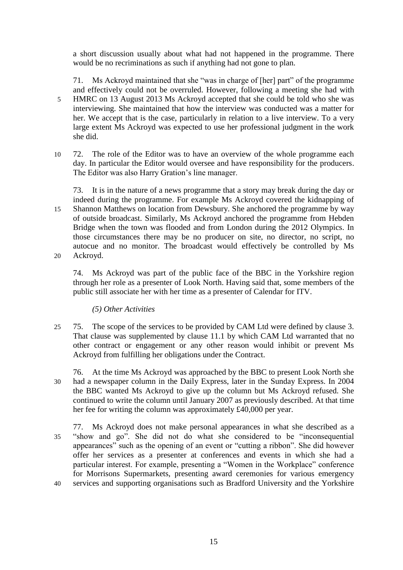a short discussion usually about what had not happened in the programme. There would be no recriminations as such if anything had not gone to plan.

71. Ms Ackroyd maintained that she "was in charge of [her] part" of the programme and effectively could not be overruled. However, following a meeting she had with 5 HMRC on 13 August 2013 Ms Ackroyd accepted that she could be told who she was interviewing. She maintained that how the interview was conducted was a matter for her. We accept that is the case, particularly in relation to a live interview. To a very large extent Ms Ackroyd was expected to use her professional judgment in the work she did.

10 72. The role of the Editor was to have an overview of the whole programme each day. In particular the Editor would oversee and have responsibility for the producers. The Editor was also Harry Gration's line manager.

73. It is in the nature of a news programme that a story may break during the day or indeed during the programme. For example Ms Ackroyd covered the kidnapping of 15 Shannon Matthews on location from Dewsbury. She anchored the programme by way of outside broadcast. Similarly, Ms Ackroyd anchored the programme from Hebden Bridge when the town was flooded and from London during the 2012 Olympics. In those circumstances there may be no producer on site, no director, no script, no autocue and no monitor. The broadcast would effectively be controlled by Ms 20 Ackroyd.

74. Ms Ackroyd was part of the public face of the BBC in the Yorkshire region through her role as a presenter of Look North. Having said that, some members of the public still associate her with her time as a presenter of Calendar for ITV.

*(5) Other Activities*

25 75. The scope of the services to be provided by CAM Ltd were defined by clause 3. That clause was supplemented by clause 11.1 by which CAM Ltd warranted that no other contract or engagement or any other reason would inhibit or prevent Ms Ackroyd from fulfilling her obligations under the Contract.

76. At the time Ms Ackroyd was approached by the BBC to present Look North she 30 had a newspaper column in the Daily Express, later in the Sunday Express. In 2004 the BBC wanted Ms Ackroyd to give up the column but Ms Ackroyd refused. She continued to write the column until January 2007 as previously described. At that time her fee for writing the column was approximately £40,000 per year.

77. Ms Ackroyd does not make personal appearances in what she described as a 35 "show and go". She did not do what she considered to be "inconsequential appearances" such as the opening of an event or "cutting a ribbon". She did however offer her services as a presenter at conferences and events in which she had a particular interest. For example, presenting a "Women in the Workplace" conference for Morrisons Supermarkets, presenting award ceremonies for various emergency 40 services and supporting organisations such as Bradford University and the Yorkshire

15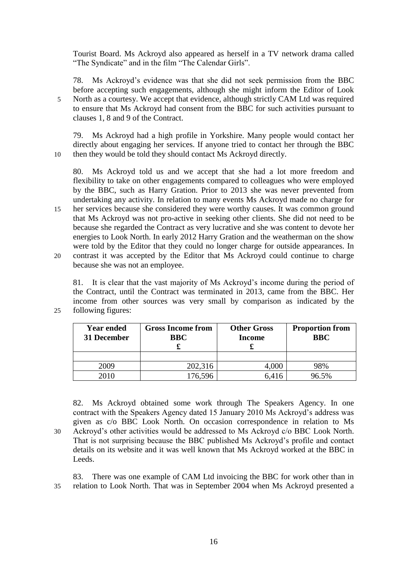Tourist Board. Ms Ackroyd also appeared as herself in a TV network drama called "The Syndicate" and in the film "The Calendar Girls".

78. Ms Ackroyd's evidence was that she did not seek permission from the BBC before accepting such engagements, although she might inform the Editor of Look 5 North as a courtesy. We accept that evidence, although strictly CAM Ltd was required to ensure that Ms Ackroyd had consent from the BBC for such activities pursuant to clauses 1, 8 and 9 of the Contract.

79. Ms Ackroyd had a high profile in Yorkshire. Many people would contact her directly about engaging her services. If anyone tried to contact her through the BBC 10 then they would be told they should contact Ms Ackroyd directly.

80. Ms Ackroyd told us and we accept that she had a lot more freedom and flexibility to take on other engagements compared to colleagues who were employed by the BBC, such as Harry Gration. Prior to 2013 she was never prevented from undertaking any activity. In relation to many events Ms Ackroyd made no charge for

- 15 her services because she considered they were worthy causes. It was common ground that Ms Ackroyd was not pro-active in seeking other clients. She did not need to be because she regarded the Contract as very lucrative and she was content to devote her energies to Look North. In early 2012 Harry Gration and the weatherman on the show were told by the Editor that they could no longer charge for outside appearances. In
- 20 contrast it was accepted by the Editor that Ms Ackroyd could continue to charge because she was not an employee.

81. It is clear that the vast majority of Ms Ackroyd's income during the period of the Contract, until the Contract was terminated in 2013, came from the BBC. Her income from other sources was very small by comparison as indicated by the 25 following figures:

| <b>Year ended</b><br>31 December | <b>Gross Income from</b><br><b>BBC</b> | <b>Other Gross</b><br><b>Income</b> | <b>Proportion from</b><br><b>BBC</b> |
|----------------------------------|----------------------------------------|-------------------------------------|--------------------------------------|
|                                  |                                        |                                     |                                      |
| 2009                             | 202,316                                | 4,000                               | 98%                                  |
| 2010                             | 76,596                                 | 6,416                               | 96.5%                                |

82. Ms Ackroyd obtained some work through The Speakers Agency. In one contract with the Speakers Agency dated 15 January 2010 Ms Ackroyd's address was given as c/o BBC Look North. On occasion correspondence in relation to Ms 30 Ackroyd's other activities would be addressed to Ms Ackroyd c/o BBC Look North. That is not surprising because the BBC published Ms Ackroyd's profile and contact details on its website and it was well known that Ms Ackroyd worked at the BBC in Leeds.

83. There was one example of CAM Ltd invoicing the BBC for work other than in 35 relation to Look North. That was in September 2004 when Ms Ackroyd presented a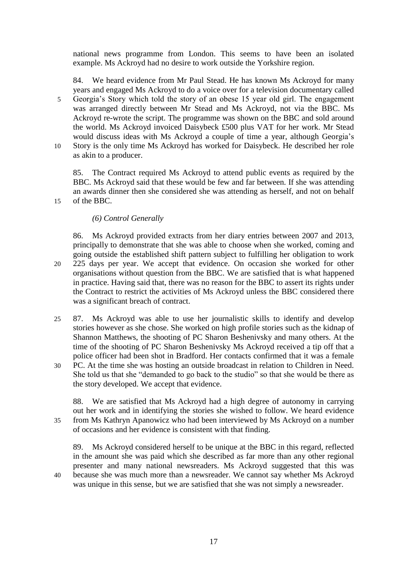national news programme from London. This seems to have been an isolated example. Ms Ackroyd had no desire to work outside the Yorkshire region.

84. We heard evidence from Mr Paul Stead. He has known Ms Ackroyd for many years and engaged Ms Ackroyd to do a voice over for a television documentary called 5 Georgia's Story which told the story of an obese 15 year old girl. The engagement was arranged directly between Mr Stead and Ms Ackroyd, not via the BBC. Ms Ackroyd re-wrote the script. The programme was shown on the BBC and sold around the world. Ms Ackroyd invoiced Daisybeck £500 plus VAT for her work. Mr Stead would discuss ideas with Ms Ackroyd a couple of time a year, although Georgia's 10 Story is the only time Ms Ackroyd has worked for Daisybeck. He described her role as akin to a producer.

85. The Contract required Ms Ackroyd to attend public events as required by the BBC. Ms Ackroyd said that these would be few and far between. If she was attending an awards dinner then she considered she was attending as herself, and not on behalf 15 of the BBC.

# *(6) Control Generally*

86. Ms Ackroyd provided extracts from her diary entries between 2007 and 2013, principally to demonstrate that she was able to choose when she worked, coming and going outside the established shift pattern subject to fulfilling her obligation to work 20 225 days per year. We accept that evidence. On occasion she worked for other organisations without question from the BBC. We are satisfied that is what happened in practice. Having said that, there was no reason for the BBC to assert its rights under the Contract to restrict the activities of Ms Ackroyd unless the BBC considered there was a significant breach of contract.

- 25 87. Ms Ackroyd was able to use her journalistic skills to identify and develop stories however as she chose. She worked on high profile stories such as the kidnap of Shannon Matthews, the shooting of PC Sharon Beshenivsky and many others. At the time of the shooting of PC Sharon Beshenivsky Ms Ackroyd received a tip off that a police officer had been shot in Bradford. Her contacts confirmed that it was a female
- 30 PC. At the time she was hosting an outside broadcast in relation to Children in Need. She told us that she "demanded to go back to the studio" so that she would be there as the story developed. We accept that evidence.

88. We are satisfied that Ms Ackroyd had a high degree of autonomy in carrying out her work and in identifying the stories she wished to follow. We heard evidence 35 from Ms Kathryn Apanowicz who had been interviewed by Ms Ackroyd on a number of occasions and her evidence is consistent with that finding.

89. Ms Ackroyd considered herself to be unique at the BBC in this regard, reflected in the amount she was paid which she described as far more than any other regional presenter and many national newsreaders. Ms Ackroyd suggested that this was 40 because she was much more than a newsreader. We cannot say whether Ms Ackroyd was unique in this sense, but we are satisfied that she was not simply a newsreader.

17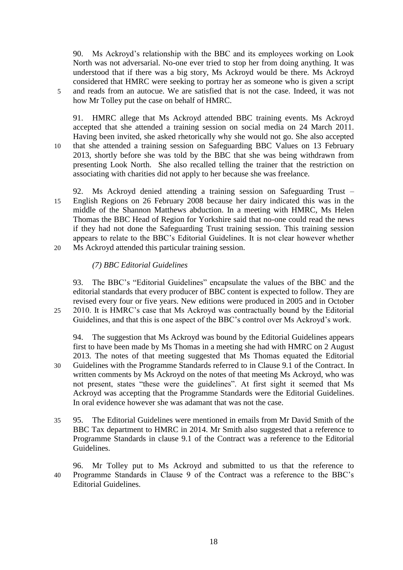90. Ms Ackroyd's relationship with the BBC and its employees working on Look North was not adversarial. No-one ever tried to stop her from doing anything. It was understood that if there was a big story, Ms Ackroyd would be there. Ms Ackroyd considered that HMRC were seeking to portray her as someone who is given a script 5 and reads from an autocue. We are satisfied that is not the case. Indeed, it was not how Mr Tolley put the case on behalf of HMRC.

91. HMRC allege that Ms Ackroyd attended BBC training events. Ms Ackroyd accepted that she attended a training session on social media on 24 March 2011. Having been invited, she asked rhetorically why she would not go. She also accepted 10 that she attended a training session on Safeguarding BBC Values on 13 February 2013, shortly before she was told by the BBC that she was being withdrawn from presenting Look North. She also recalled telling the trainer that the restriction on associating with charities did not apply to her because she was freelance.

- 92. Ms Ackroyd denied attending a training session on Safeguarding Trust 15 English Regions on 26 February 2008 because her dairy indicated this was in the middle of the Shannon Matthews abduction. In a meeting with HMRC, Ms Helen Thomas the BBC Head of Region for Yorkshire said that no-one could read the news if they had not done the Safeguarding Trust training session. This training session appears to relate to the BBC's Editorial Guidelines. It is not clear however whether
- 20 Ms Ackroyd attended this particular training session.

# *(7) BBC Editorial Guidelines*

93. The BBC's "Editorial Guidelines" encapsulate the values of the BBC and the editorial standards that every producer of BBC content is expected to follow. They are revised every four or five years. New editions were produced in 2005 and in October 25 2010. It is HMRC's case that Ms Ackroyd was contractually bound by the Editorial Guidelines, and that this is one aspect of the BBC's control over Ms Ackroyd's work.

94. The suggestion that Ms Ackroyd was bound by the Editorial Guidelines appears first to have been made by Ms Thomas in a meeting she had with HMRC on 2 August 2013. The notes of that meeting suggested that Ms Thomas equated the Editorial 30 Guidelines with the Programme Standards referred to in Clause 9.1 of the Contract. In written comments by Ms Ackroyd on the notes of that meeting Ms Ackroyd, who was not present, states "these were the guidelines". At first sight it seemed that Ms Ackroyd was accepting that the Programme Standards were the Editorial Guidelines. In oral evidence however she was adamant that was not the case.

- 35 95. The Editorial Guidelines were mentioned in emails from Mr David Smith of the BBC Tax department to HMRC in 2014. Mr Smith also suggested that a reference to Programme Standards in clause 9.1 of the Contract was a reference to the Editorial Guidelines.
- 96. Mr Tolley put to Ms Ackroyd and submitted to us that the reference to 40 Programme Standards in Clause 9 of the Contract was a reference to the BBC's Editorial Guidelines.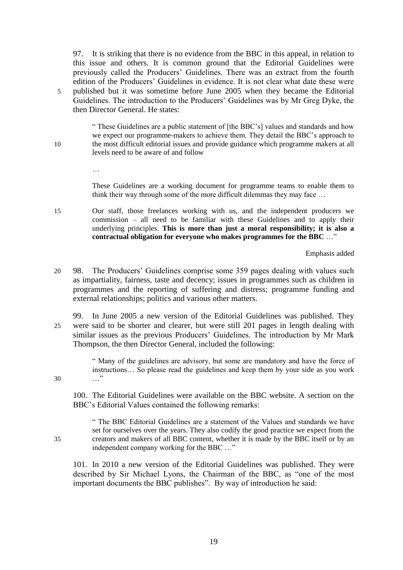97. It is striking that there is no evidence from the BBC in this appeal, in relation to this issue and others. It is common ground that the Editorial Guidelines were previously called the Producers' Guidelines. There was an extract from the fourth edition of the Producers' Guidelines in evidence. It is not clear what date these were 5 published but it was sometime before June 2005 when they became the Editorial Guidelines. The introduction to the Producers' Guidelines was by Mr Greg Dyke, the then Director General. He states:

" These Guidelines are a public statement of [the BBC's] values and standards and how we expect our programme-makers to achieve them. They detail the BBC's approach to 10 the most difficult editorial issues and provide guidance which programme makers at all levels need to be aware of and follow

> These Guidelines are a working document for programme teams to enable them to think their way through some of the more difficult dilemmas they may face …

15 Our staff, those freelances working with us, and the independent producers we commission – all need to be familiar with these Guidelines and to apply their underlying principles. **This is more than just a moral responsibility; it is also a contractual obligation for everyone who makes programmes for the BBC** …"

Emphasis added

- 20 98. The Producers' Guidelines comprise some 359 pages dealing with values such as impartiality, fairness, taste and decency; issues in programmes such as children in programmes and the reporting of suffering and distress; programme funding and external relationships; politics and various other matters.
- 99. In June 2005 a new version of the Editorial Guidelines was published. They 25 were said to be shorter and clearer, but were still 201 pages in length dealing with similar issues as the previous Producers' Guidelines. The introduction by Mr Mark Thompson, the then Director General, included the following:

" Many of the guidelines are advisory, but some are mandatory and have the force of instructions… So please read the guidelines and keep them by your side as you work 30 …"

100. The Editorial Guidelines were available on the BBC website. A section on the BBC's Editorial Values contained the following remarks:

…

" The BBC Editorial Guidelines are a statement of the Values and standards we have set for ourselves over the years. They also codify the good practice we expect from the 35 creators and makers of all BBC content, whether it is made by the BBC itself or by an independent company working for the BBC …"

101. In 2010 a new version of the Editorial Guidelines was published. They were described by Sir Michael Lyons, the Chairman of the BBC, as "one of the most important documents the BBC publishes". By way of introduction he said: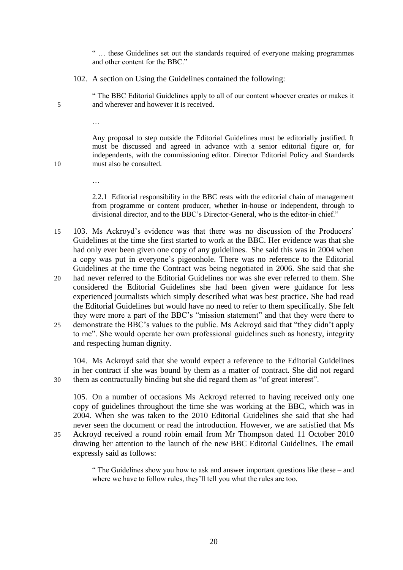" … these Guidelines set out the standards required of everyone making programmes and other content for the BBC."

102. A section on Using the Guidelines contained the following:

" The BBC Editorial Guidelines apply to all of our content whoever creates or makes it 5 and wherever and however it is received.

Any proposal to step outside the Editorial Guidelines must be editorially justified. It must be discussed and agreed in advance with a senior editorial figure or, for independents, with the commissioning editor. Director Editorial Policy and Standards 10 must also be consulted.

> 2.2.1 Editorial responsibility in the BBC rests with the editorial chain of management from programme or content producer, whether in-house or independent, through to divisional director, and to the BBC's Director-General, who is the editor-in chief."

- 15 103. Ms Ackroyd's evidence was that there was no discussion of the Producers' Guidelines at the time she first started to work at the BBC. Her evidence was that she had only ever been given one copy of any guidelines. She said this was in 2004 when a copy was put in everyone's pigeonhole. There was no reference to the Editorial Guidelines at the time the Contract was being negotiated in 2006. She said that she
- 20 had never referred to the Editorial Guidelines nor was she ever referred to them. She considered the Editorial Guidelines she had been given were guidance for less experienced journalists which simply described what was best practice. She had read the Editorial Guidelines but would have no need to refer to them specifically. She felt they were more a part of the BBC's "mission statement" and that they were there to
- 25 demonstrate the BBC's values to the public. Ms Ackroyd said that "they didn't apply to me". She would operate her own professional guidelines such as honesty, integrity and respecting human dignity.

104. Ms Ackroyd said that she would expect a reference to the Editorial Guidelines in her contract if she was bound by them as a matter of contract. She did not regard 30 them as contractually binding but she did regard them as "of great interest".

105. On a number of occasions Ms Ackroyd referred to having received only one copy of guidelines throughout the time she was working at the BBC, which was in 2004. When she was taken to the 2010 Editorial Guidelines she said that she had never seen the document or read the introduction. However, we are satisfied that Ms 35 Ackroyd received a round robin email from Mr Thompson dated 11 October 2010 drawing her attention to the launch of the new BBC Editorial Guidelines. The email

expressly said as follows:

…

…

" The Guidelines show you how to ask and answer important questions like these – and where we have to follow rules, they'll tell you what the rules are too.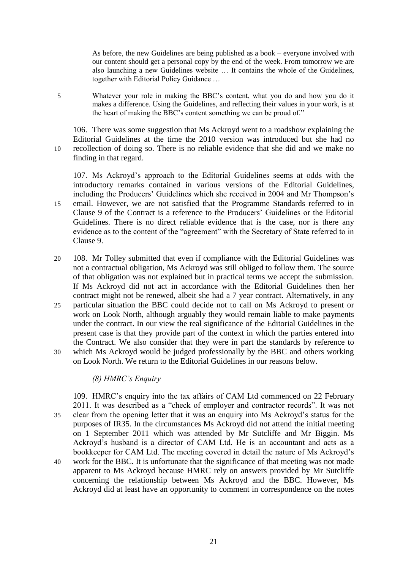As before, the new Guidelines are being published as a book – everyone involved with our content should get a personal copy by the end of the week. From tomorrow we are also launching a new Guidelines website … It contains the whole of the Guidelines, together with Editorial Policy Guidance …

5 Whatever your role in making the BBC's content, what you do and how you do it makes a difference. Using the Guidelines, and reflecting their values in your work, is at the heart of making the BBC's content something we can be proud of."

106. There was some suggestion that Ms Ackroyd went to a roadshow explaining the Editorial Guidelines at the time the 2010 version was introduced but she had no 10 recollection of doing so. There is no reliable evidence that she did and we make no finding in that regard.

107. Ms Ackroyd's approach to the Editorial Guidelines seems at odds with the introductory remarks contained in various versions of the Editorial Guidelines, including the Producers' Guidelines which she received in 2004 and Mr Thompson's 15 email. However, we are not satisfied that the Programme Standards referred to in Clause 9 of the Contract is a reference to the Producers' Guidelines or the Editorial Guidelines. There is no direct reliable evidence that is the case, nor is there any evidence as to the content of the "agreement" with the Secretary of State referred to in

- Clause 9.
- 20 108. Mr Tolley submitted that even if compliance with the Editorial Guidelines was not a contractual obligation, Ms Ackroyd was still obliged to follow them. The source of that obligation was not explained but in practical terms we accept the submission. If Ms Ackroyd did not act in accordance with the Editorial Guidelines then her contract might not be renewed, albeit she had a 7 year contract. Alternatively, in any
- 25 particular situation the BBC could decide not to call on Ms Ackroyd to present or work on Look North, although arguably they would remain liable to make payments under the contract. In our view the real significance of the Editorial Guidelines in the present case is that they provide part of the context in which the parties entered into the Contract. We also consider that they were in part the standards by reference to
- 30 which Ms Ackroyd would be judged professionally by the BBC and others working on Look North. We return to the Editorial Guidelines in our reasons below.

# *(8) HMRC's Enquiry*

109. HMRC's enquiry into the tax affairs of CAM Ltd commenced on 22 February 2011. It was described as a "check of employer and contractor records". It was not 35 clear from the opening letter that it was an enquiry into Ms Ackroyd's status for the purposes of IR35. In the circumstances Ms Ackroyd did not attend the initial meeting on 1 September 2011 which was attended by Mr Sutcliffe and Mr Biggin. Ms Ackroyd's husband is a director of CAM Ltd. He is an accountant and acts as a bookkeeper for CAM Ltd. The meeting covered in detail the nature of Ms Ackroyd's 40 work for the BBC. It is unfortunate that the significance of that meeting was not made apparent to Ms Ackroyd because HMRC rely on answers provided by Mr Sutcliffe concerning the relationship between Ms Ackroyd and the BBC. However, Ms

Ackroyd did at least have an opportunity to comment in correspondence on the notes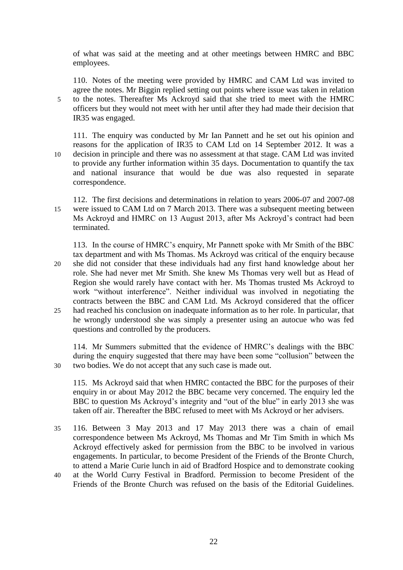of what was said at the meeting and at other meetings between HMRC and BBC employees.

110. Notes of the meeting were provided by HMRC and CAM Ltd was invited to agree the notes. Mr Biggin replied setting out points where issue was taken in relation 5 to the notes. Thereafter Ms Ackroyd said that she tried to meet with the HMRC officers but they would not meet with her until after they had made their decision that IR35 was engaged.

111. The enquiry was conducted by Mr Ian Pannett and he set out his opinion and reasons for the application of IR35 to CAM Ltd on 14 September 2012. It was a 10 decision in principle and there was no assessment at that stage. CAM Ltd was invited to provide any further information within 35 days. Documentation to quantify the tax and national insurance that would be due was also requested in separate correspondence.

112. The first decisions and determinations in relation to years 2006-07 and 2007-08 15 were issued to CAM Ltd on 7 March 2013. There was a subsequent meeting between Ms Ackroyd and HMRC on 13 August 2013, after Ms Ackroyd's contract had been terminated.

113. In the course of HMRC's enquiry, Mr Pannett spoke with Mr Smith of the BBC tax department and with Ms Thomas. Ms Ackroyd was critical of the enquiry because 20 she did not consider that these individuals had any first hand knowledge about her role. She had never met Mr Smith. She knew Ms Thomas very well but as Head of Region she would rarely have contact with her. Ms Thomas trusted Ms Ackroyd to work "without interference". Neither individual was involved in negotiating the contracts between the BBC and CAM Ltd. Ms Ackroyd considered that the officer 25 had reached his conclusion on inadequate information as to her role. In particular, that he wrongly understood she was simply a presenter using an autocue who was fed questions and controlled by the producers.

114. Mr Summers submitted that the evidence of HMRC's dealings with the BBC during the enquiry suggested that there may have been some "collusion" between the 30 two bodies. We do not accept that any such case is made out.

115. Ms Ackroyd said that when HMRC contacted the BBC for the purposes of their enquiry in or about May 2012 the BBC became very concerned. The enquiry led the BBC to question Ms Ackroyd's integrity and "out of the blue" in early 2013 she was taken off air. Thereafter the BBC refused to meet with Ms Ackroyd or her advisers.

- 35 116. Between 3 May 2013 and 17 May 2013 there was a chain of email correspondence between Ms Ackroyd, Ms Thomas and Mr Tim Smith in which Ms Ackroyd effectively asked for permission from the BBC to be involved in various engagements. In particular, to become President of the Friends of the Bronte Church, to attend a Marie Curie lunch in aid of Bradford Hospice and to demonstrate cooking
- 40 at the World Curry Festival in Bradford. Permission to become President of the Friends of the Bronte Church was refused on the basis of the Editorial Guidelines.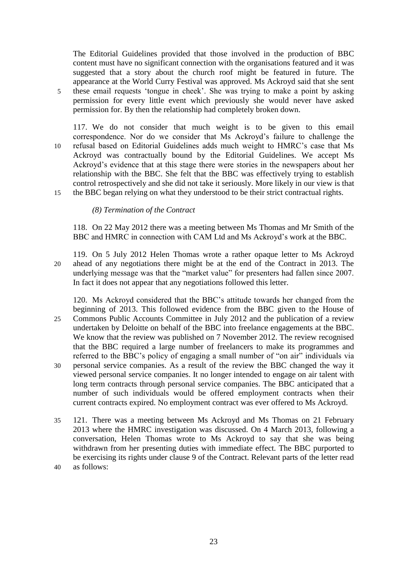The Editorial Guidelines provided that those involved in the production of BBC content must have no significant connection with the organisations featured and it was suggested that a story about the church roof might be featured in future. The appearance at the World Curry Festival was approved. Ms Ackroyd said that she sent 5 these email requests 'tongue in cheek'. She was trying to make a point by asking permission for every little event which previously she would never have asked permission for. By then the relationship had completely broken down.

117. We do not consider that much weight is to be given to this email correspondence. Nor do we consider that Ms Ackroyd's failure to challenge the 10 refusal based on Editorial Guidelines adds much weight to HMRC's case that Ms Ackroyd was contractually bound by the Editorial Guidelines. We accept Ms Ackroyd's evidence that at this stage there were stories in the newspapers about her relationship with the BBC. She felt that the BBC was effectively trying to establish control retrospectively and she did not take it seriously. More likely in our view is that 15 the BBC began relying on what they understood to be their strict contractual rights.

*(8) Termination of the Contract*

118. On 22 May 2012 there was a meeting between Ms Thomas and Mr Smith of the BBC and HMRC in connection with CAM Ltd and Ms Ackroyd's work at the BBC.

119. On 5 July 2012 Helen Thomas wrote a rather opaque letter to Ms Ackroyd 20 ahead of any negotiations there might be at the end of the Contract in 2013. The underlying message was that the "market value" for presenters had fallen since 2007. In fact it does not appear that any negotiations followed this letter.

120. Ms Ackroyd considered that the BBC's attitude towards her changed from the beginning of 2013. This followed evidence from the BBC given to the House of 25 Commons Public Accounts Committee in July 2012 and the publication of a review undertaken by Deloitte on behalf of the BBC into freelance engagements at the BBC. We know that the review was published on 7 November 2012. The review recognised that the BBC required a large number of freelancers to make its programmes and

- referred to the BBC's policy of engaging a small number of "on air" individuals via 30 personal service companies. As a result of the review the BBC changed the way it viewed personal service companies. It no longer intended to engage on air talent with long term contracts through personal service companies. The BBC anticipated that a number of such individuals would be offered employment contracts when their current contracts expired. No employment contract was ever offered to Ms Ackroyd.
- 35 121. There was a meeting between Ms Ackroyd and Ms Thomas on 21 February 2013 where the HMRC investigation was discussed. On 4 March 2013, following a conversation, Helen Thomas wrote to Ms Ackroyd to say that she was being withdrawn from her presenting duties with immediate effect. The BBC purported to be exercising its rights under clause 9 of the Contract. Relevant parts of the letter read 40 as follows: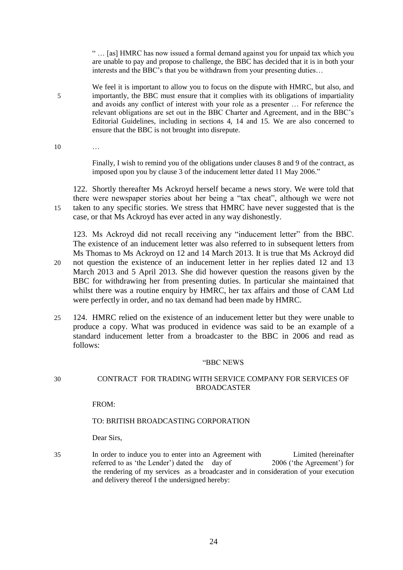" … [as] HMRC has now issued a formal demand against you for unpaid tax which you are unable to pay and propose to challenge, the BBC has decided that it is in both your interests and the BBC's that you be withdrawn from your presenting duties…

- We feel it is important to allow you to focus on the dispute with HMRC, but also, and 5 importantly, the BBC must ensure that it complies with its obligations of impartiality and avoids any conflict of interest with your role as a presenter … For reference the relevant obligations are set out in the BBC Charter and Agreement, and in the BBC's Editorial Guidelines, including in sections 4, 14 and 15. We are also concerned to ensure that the BBC is not brought into disrepute.
- 10 …

Finally, I wish to remind you of the obligations under clauses 8 and 9 of the contract, as imposed upon you by clause 3 of the inducement letter dated 11 May 2006."

122. Shortly thereafter Ms Ackroyd herself became a news story. We were told that there were newspaper stories about her being a "tax cheat", although we were not 15 taken to any specific stories. We stress that HMRC have never suggested that is the case, or that Ms Ackroyd has ever acted in any way dishonestly.

123. Ms Ackroyd did not recall receiving any "inducement letter" from the BBC. The existence of an inducement letter was also referred to in subsequent letters from Ms Thomas to Ms Ackroyd on 12 and 14 March 2013. It is true that Ms Ackroyd did 20 not question the existence of an inducement letter in her replies dated 12 and 13

- March 2013 and 5 April 2013. She did however question the reasons given by the BBC for withdrawing her from presenting duties. In particular she maintained that whilst there was a routine enquiry by HMRC, her tax affairs and those of CAM Ltd were perfectly in order, and no tax demand had been made by HMRC.
- 25 124. HMRC relied on the existence of an inducement letter but they were unable to produce a copy. What was produced in evidence was said to be an example of a standard inducement letter from a broadcaster to the BBC in 2006 and read as follows:

#### "BBC NEWS

# 30 CONTRACT FOR TRADING WITH SERVICE COMPANY FOR SERVICES OF BROADCASTER

FROM:

# TO: BRITISH BROADCASTING CORPORATION

Dear Sirs,

35 In order to induce you to enter into an Agreement with Limited (hereinafter referred to as 'the Lender') dated the day of 2006 ('the Agreement') for the rendering of my services as a broadcaster and in consideration of your execution and delivery thereof I the undersigned hereby: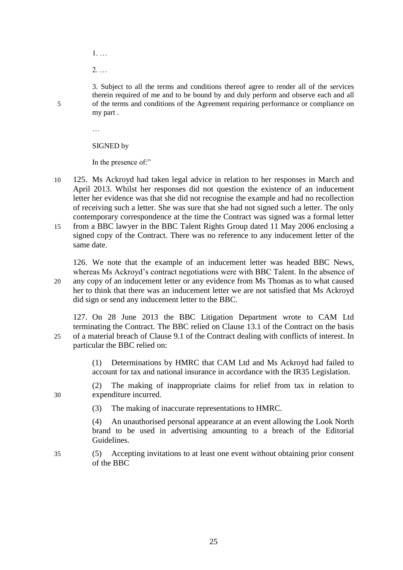- 1. …
- 2. …

3. Subject to all the terms and conditions thereof agree to render all of the services therein required of me and to be bound by and duly perform and observe each and all 5 of the terms and conditions of the Agreement requiring performance or compliance on my part .

…

#### SIGNED by

In the presence of:"

- 10 125. Ms Ackroyd had taken legal advice in relation to her responses in March and April 2013. Whilst her responses did not question the existence of an inducement letter her evidence was that she did not recognise the example and had no recollection of receiving such a letter. She was sure that she had not signed such a letter. The only contemporary correspondence at the time the Contract was signed was a formal letter 15 from a BBC lawyer in the BBC Talent Rights Group dated 11 May 2006 enclosing a
- signed copy of the Contract. There was no reference to any inducement letter of the same date.

126. We note that the example of an inducement letter was headed BBC News, whereas Ms Ackroyd's contract negotiations were with BBC Talent. In the absence of 20 any copy of an inducement letter or any evidence from Ms Thomas as to what caused her to think that there was an inducement letter we are not satisfied that Ms Ackroyd did sign or send any inducement letter to the BBC.

127. On 28 June 2013 the BBC Litigation Department wrote to CAM Ltd terminating the Contract. The BBC relied on Clause 13.1 of the Contract on the basis 25 of a material breach of Clause 9.1 of the Contract dealing with conflicts of interest. In particular the BBC relied on:

> (1) Determinations by HMRC that CAM Ltd and Ms Ackroyd had failed to account for tax and national insurance in accordance with the IR35 Legislation.

(2) The making of inappropriate claims for relief from tax in relation to 30 expenditure incurred.

(3) The making of inaccurate representations to HMRC.

(4) An unauthorised personal appearance at an event allowing the Look North brand to be used in advertising amounting to a breach of the Editorial Guidelines.

35 (5) Accepting invitations to at least one event without obtaining prior consent of the BBC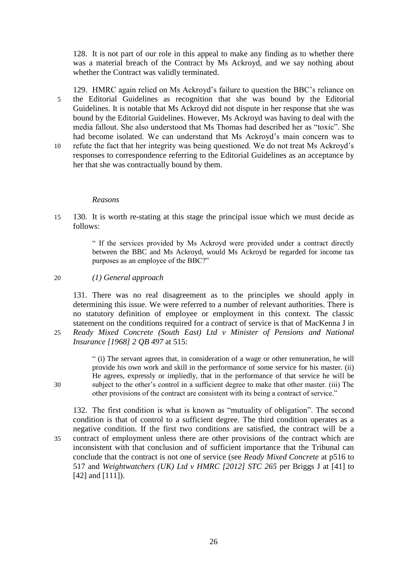128. It is not part of our role in this appeal to make any finding as to whether there was a material breach of the Contract by Ms Ackroyd, and we say nothing about whether the Contract was validly terminated.

129. HMRC again relied on Ms Ackroyd's failure to question the BBC's reliance on 5 the Editorial Guidelines as recognition that she was bound by the Editorial Guidelines. It is notable that Ms Ackroyd did not dispute in her response that she was bound by the Editorial Guidelines. However, Ms Ackroyd was having to deal with the media fallout. She also understood that Ms Thomas had described her as "toxic". She had become isolated. We can understand that Ms Ackroyd's main concern was to

10 refute the fact that her integrity was being questioned. We do not treat Ms Ackroyd's responses to correspondence referring to the Editorial Guidelines as an acceptance by her that she was contractually bound by them.

#### *Reasons*

15 130. It is worth re-stating at this stage the principal issue which we must decide as follows:

> " If the services provided by Ms Ackroyd were provided under a contract directly between the BBC and Ms Ackroyd, would Ms Ackroyd be regarded for income tax purposes as an employee of the BBC?"

20 *(1) General approach*

131. There was no real disagreement as to the principles we should apply in determining this issue. We were referred to a number of relevant authorities. There is no statutory definition of employee or employment in this context. The classic statement on the conditions required for a contract of service is that of MacKenna J in 25 *Ready Mixed Concrete (South East) Ltd v Minister of Pensions and National Insurance [1968] 2 QB 497* at 515:

" (i) The servant agrees that, in consideration of a wage or other remuneration, he will provide his own work and skill in the performance of some service for his master. (ii) He agrees, expressly or impliedly, that in the performance of that service he will be 30 subject to the other's control in a sufficient degree to make that other master. (iii) The other provisions of the contract are consistent with its being a contract of service."

132. The first condition is what is known as "mutuality of obligation". The second condition is that of control to a sufficient degree. The third condition operates as a negative condition. If the first two conditions are satisfied, the contract will be a 35 contract of employment unless there are other provisions of the contract which are inconsistent with that conclusion and of sufficient importance that the Tribunal can conclude that the contract is not one of service (see *Ready Mixed Concrete* at p516 to 517 and *Weightwatchers (UK) Ltd v HMRC [2012] STC 265* per Briggs J at [41] to [42] and [111]).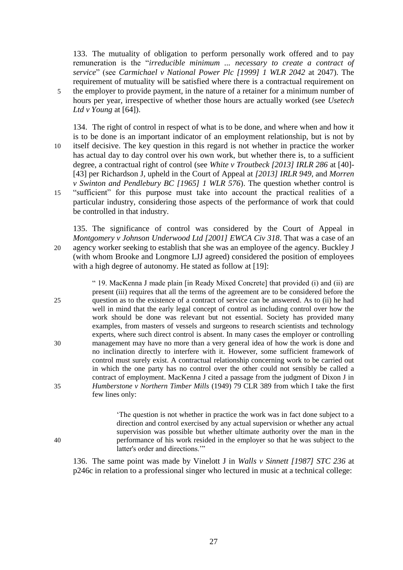133. The mutuality of obligation to perform personally work offered and to pay remuneration is the "*irreducible minimum ... necessary to create a contract of service*" (see *Carmichael v National Power Plc [1999] 1 WLR 2042* at 2047). The requirement of mutuality will be satisfied where there is a contractual requirement on

5 the employer to provide payment, in the nature of a retainer for a minimum number of hours per year, irrespective of whether those hours are actually worked (see *Usetech Ltd v Young* at [64]).

134. The right of control in respect of what is to be done, and where when and how it is to be done is an important indicator of an employment relationship, but is not by 10 itself decisive. The key question in this regard is not whether in practice the worker has actual day to day control over his own work, but whether there is, to a sufficient degree, a contractual right of control (see *White v Troutbeck [2013] IRLR 286* at [40]- [43] per Richardson J, upheld in the Court of Appeal at *[2013] IRLR 949*, and *Morren v Swinton and Pendlebury BC [1965] 1 WLR 576*). The question whether control is 15 "sufficient" for this purpose must take into account the practical realities of a particular industry, considering those aspects of the performance of work that could be controlled in that industry.

135. The significance of control was considered by the Court of Appeal in *Montgomery v Johnson Underwood Ltd [2001] EWCA Civ 318*. That was a case of an 20 agency worker seeking to establish that she was an employee of the agency. Buckley J (with whom Brooke and Longmore LJJ agreed) considered the position of employees with a high degree of autonomy. He stated as follow at [19]:

" 19. MacKenna J made plain [in Ready Mixed Concrete] that provided (i) and (ii) are present (iii) requires that all the terms of the agreement are to be considered before the 25 question as to the existence of a contract of service can be answered. As to (ii) he had well in mind that the early legal concept of control as including control over how the work should be done was relevant but not essential. Society has provided many examples, from masters of vessels and surgeons to research scientists and technology experts, where such direct control is absent. In many cases the employer or controlling 30 management may have no more than a very general idea of how the work is done and no inclination directly to interfere with it. However, some sufficient framework of control must surely exist. A contractual relationship concerning work to be carried out in which the one party has no control over the other could not sensibly be called a contract of employment. MacKenna J cited a passage from the judgment of Dixon J in 35 *Humberstone v Northern Timber Mills* (1949) 79 CLR 389 from which I take the first few lines only:

'The question is not whether in practice the work was in fact done subject to a direction and control exercised by any actual supervision or whether any actual supervision was possible but whether ultimate authority over the man in the 40 performance of his work resided in the employer so that he was subject to the latter's order and directions.""

136. The same point was made by Vinelott J in *Walls v Sinnett [1987] STC 236* at p246c in relation to a professional singer who lectured in music at a technical college: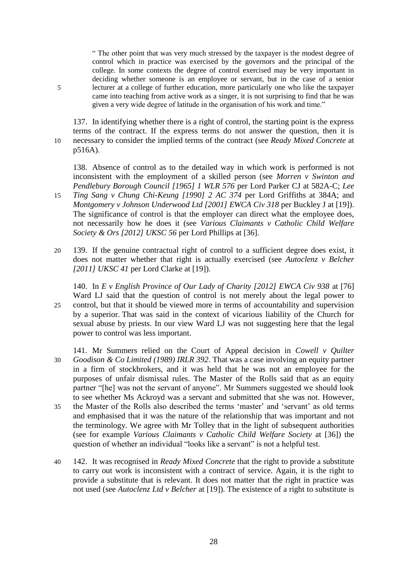" The other point that was very much stressed by the taxpayer is the modest degree of control which in practice was exercised by the governors and the principal of the college. In some contexts the degree of control exercised may be very important in deciding whether someone is an employee or servant, but in the case of a senior 5 lecturer at a college of further education, more particularly one who like the taxpayer came into teaching from active work as a singer, it is not surprising to find that he was given a very wide degree of latitude in the organisation of his work and time."

137. In identifying whether there is a right of control, the starting point is the express terms of the contract. If the express terms do not answer the question, then it is 10 necessary to consider the implied terms of the contract (see *Ready Mixed Concrete* at p516A).

138. Absence of control as to the detailed way in which work is performed is not inconsistent with the employment of a skilled person (see *Morren v Swinton and Pendlebury Borough Council [1965] 1 WLR 576* per Lord Parker CJ at 582A-C; *Lee*  15 *Ting Sang v Chung Chi-Keung [1990] 2 AC 374* per Lord Griffiths at 384A; and *Montgomery v Johnson Underwood Ltd [2001] EWCA Civ 318* per Buckley J at [19]).

- The significance of control is that the employer can direct what the employee does, not necessarily how he does it (see *Various Claimants v Catholic Child Welfare Society & Ors [2012] UKSC 56* per Lord Phillips at [36].
- 20 139. If the genuine contractual right of control to a sufficient degree does exist, it does not matter whether that right is actually exercised (see *Autoclenz v Belcher [2011] UKSC 41* per Lord Clarke at [19]).

140. In *E v English Province of Our Lady of Charity [2012] EWCA Civ 938* at [76] Ward LJ said that the question of control is not merely about the legal power to 25 control, but that it should be viewed more in terms of accountability and supervision by a superior. That was said in the context of vicarious liability of the Church for sexual abuse by priests. In our view Ward LJ was not suggesting here that the legal power to control was less important.

- 141. Mr Summers relied on the Court of Appeal decision in *Cowell v Quilter*  30 *Goodison & Co Limited (1989) IRLR 392*. That was a case involving an equity partner in a firm of stockbrokers, and it was held that he was not an employee for the purposes of unfair dismissal rules. The Master of the Rolls said that as an equity partner "[he] was not the servant of anyone". Mr Summers suggested we should look to see whether Ms Ackroyd was a servant and submitted that she was not. However, 35 the Master of the Rolls also described the terms 'master' and 'servant' as old terms and emphasised that it was the nature of the relationship that was important and not the terminology. We agree with Mr Tolley that in the light of subsequent authorities (see for example *Various Claimants v Catholic Child Welfare Society* at [36]) the question of whether an individual "looks like a servant" is not a helpful test.
- 40 142. It was recognised in *Ready Mixed Concrete* that the right to provide a substitute to carry out work is inconsistent with a contract of service. Again, it is the right to provide a substitute that is relevant. It does not matter that the right in practice was not used (see *Autoclenz Ltd v Belcher* at [19]). The existence of a right to substitute is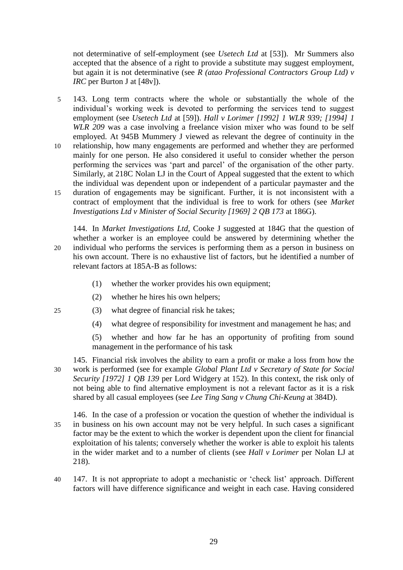not determinative of self-employment (see *Usetech Ltd* at [53]). Mr Summers also accepted that the absence of a right to provide a substitute may suggest employment, but again it is not determinative (see *R (atao Professional Contractors Group Ltd) v IRC* per Burton J at [48v]).

- 5 143. Long term contracts where the whole or substantially the whole of the individual's working week is devoted to performing the services tend to suggest employment (see *Usetech Ltd* at [59]). *Hall v Lorimer [1992] 1 WLR 939; [1994] 1 WLR 209* was a case involving a freelance vision mixer who was found to be self employed. At 945B Mummery J viewed as relevant the degree of continuity in the
- 10 relationship, how many engagements are performed and whether they are performed mainly for one person. He also considered it useful to consider whether the person performing the services was 'part and parcel' of the organisation of the other party. Similarly, at 218C Nolan LJ in the Court of Appeal suggested that the extent to which the individual was dependent upon or independent of a particular paymaster and the 15 duration of engagements may be significant. Further, it is not inconsistent with a
- contract of employment that the individual is free to work for others (see *Market Investigations Ltd v Minister of Social Security [1969] 2 QB 173* at 186G).

144. In *Market Investigations Ltd*, Cooke J suggested at 184G that the question of whether a worker is an employee could be answered by determining whether the 20 individual who performs the services is performing them as a person in business on his own account. There is no exhaustive list of factors, but he identified a number of relevant factors at 185A-B as follows:

- (1) whether the worker provides his own equipment;
- (2) whether he hires his own helpers;
- 25 (3) what degree of financial risk he takes;
	- (4) what degree of responsibility for investment and management he has; and

(5) whether and how far he has an opportunity of profiting from sound management in the performance of his task

- 145. Financial risk involves the ability to earn a profit or make a loss from how the 30 work is performed (see for example *Global Plant Ltd v Secretary of State for Social Security [1972] 1 QB 139* per Lord Widgery at 152). In this context, the risk only of not being able to find alternative employment is not a relevant factor as it is a risk shared by all casual employees (see *Lee Ting Sang v Chung Chi-Keung* at 384D).
- 146. In the case of a profession or vocation the question of whether the individual is 35 in business on his own account may not be very helpful. In such cases a significant factor may be the extent to which the worker is dependent upon the client for financial exploitation of his talents; conversely whether the worker is able to exploit his talents in the wider market and to a number of clients (see *Hall v Lorimer* per Nolan LJ at 218).
- 40 147. It is not appropriate to adopt a mechanistic or 'check list' approach. Different factors will have difference significance and weight in each case. Having considered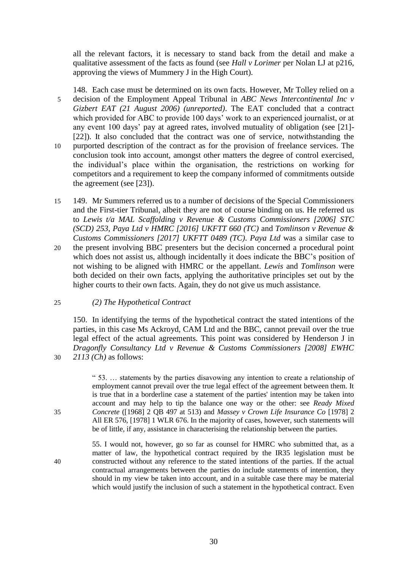all the relevant factors, it is necessary to stand back from the detail and make a qualitative assessment of the facts as found (see *Hall v Lorimer* per Nolan LJ at p216, approving the views of Mummery J in the High Court).

148. Each case must be determined on its own facts. However, Mr Tolley relied on a 5 decision of the Employment Appeal Tribunal in *ABC News Intercontinental Inc v Gizbert EAT (21 August 2006) (unreported)*. The EAT concluded that a contract which provided for ABC to provide 100 days' work to an experienced journalist, or at any event 100 days' pay at agreed rates, involved mutuality of obligation (see [21]- [22]). It also concluded that the contract was one of service, notwithstanding the 10 purported description of the contract as for the provision of freelance services. The

- conclusion took into account, amongst other matters the degree of control exercised, the individual's place within the organisation, the restrictions on working for competitors and a requirement to keep the company informed of commitments outside the agreement (see  $\overline{23}$ ).
- 15 149. Mr Summers referred us to a number of decisions of the Special Commissioners and the First-tier Tribunal, albeit they are not of course binding on us. He referred us to *Lewis t/a MAL Scaffolding v Revenue & Customs Commissioners [2006] STC (SCD) 253*, *Paya Ltd v HMRC [2016] UKFTT 660 (TC)* and *Tomlinson v Revenue & Customs Commissioners [2017] UKFTT 0489 (TC)*. *Paya Ltd* was a similar case to
- 20 the present involving BBC presenters but the decision concerned a procedural point which does not assist us, although incidentally it does indicate the BBC's position of not wishing to be aligned with HMRC or the appellant. *Lewis* and *Tomlinson* were both decided on their own facts, applying the authoritative principles set out by the higher courts to their own facts. Again, they do not give us much assistance.

# 25 *(2) The Hypothetical Contract*

150. In identifying the terms of the hypothetical contract the stated intentions of the parties, in this case Ms Ackroyd, CAM Ltd and the BBC, cannot prevail over the true legal effect of the actual agreements. This point was considered by Henderson J in *Dragonfly Consultancy Ltd v Revenue & Customs Commissioners [2008] EWHC*  30 *2113 (Ch)* as follows:

" 53. … statements by the parties disavowing any intention to create a relationship of employment cannot prevail over the true legal effect of the agreement between them. It is true that in a borderline case a statement of the parties' intention may be taken into account and may help to tip the balance one way or the other: see *Ready Mixed*  35 *Concrete* ([1968] 2 QB 497 at 513) and *Massey v Crown Life Insurance Co* [1978] 2 All ER 576, [1978] 1 WLR 676. In the majority of cases, however, such statements will be of little, if any, assistance in characterising the relationship between the parties.

55. I would not, however, go so far as counsel for HMRC who submitted that, as a matter of law, the hypothetical contract required by the IR35 legislation must be 40 constructed without any reference to the stated intentions of the parties. If the actual contractual arrangements between the parties do include statements of intention, they should in my view be taken into account, and in a suitable case there may be material which would justify the inclusion of such a statement in the hypothetical contract. Even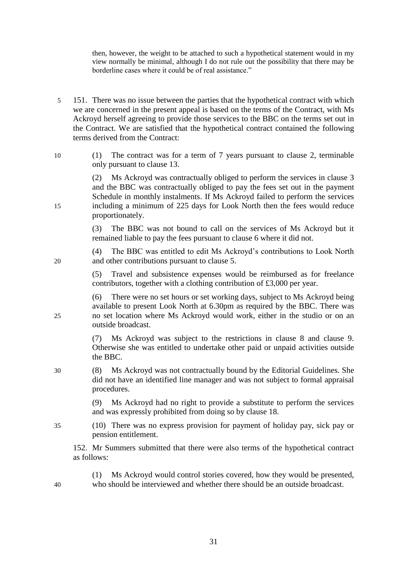then, however, the weight to be attached to such a hypothetical statement would in my view normally be minimal, although I do not rule out the possibility that there may be borderline cases where it could be of real assistance."

- 5 151. There was no issue between the parties that the hypothetical contract with which we are concerned in the present appeal is based on the terms of the Contract, with Ms Ackroyd herself agreeing to provide those services to the BBC on the terms set out in the Contract. We are satisfied that the hypothetical contract contained the following terms derived from the Contract:
- 10 (1) The contract was for a term of 7 years pursuant to clause 2, terminable only pursuant to clause 13.

(2) Ms Ackroyd was contractually obliged to perform the services in clause 3 and the BBC was contractually obliged to pay the fees set out in the payment Schedule in monthly instalments. If Ms Ackroyd failed to perform the services 15 including a minimum of 225 days for Look North then the fees would reduce proportionately.

> (3) The BBC was not bound to call on the services of Ms Ackroyd but it remained liable to pay the fees pursuant to clause 6 where it did not.

(4) The BBC was entitled to edit Ms Ackroyd's contributions to Look North 20 and other contributions pursuant to clause 5.

> (5) Travel and subsistence expenses would be reimbursed as for freelance contributors, together with a clothing contribution of £3,000 per year.

(6) There were no set hours or set working days, subject to Ms Ackroyd being available to present Look North at 6.30pm as required by the BBC. There was 25 no set location where Ms Ackroyd would work, either in the studio or on an outside broadcast.

> (7) Ms Ackroyd was subject to the restrictions in clause 8 and clause 9. Otherwise she was entitled to undertake other paid or unpaid activities outside the BBC.

30 (8) Ms Ackroyd was not contractually bound by the Editorial Guidelines. She did not have an identified line manager and was not subject to formal appraisal procedures.

> (9) Ms Ackroyd had no right to provide a substitute to perform the services and was expressly prohibited from doing so by clause 18.

35 (10) There was no express provision for payment of holiday pay, sick pay or pension entitlement.

152. Mr Summers submitted that there were also terms of the hypothetical contract as follows:

(1) Ms Ackroyd would control stories covered, how they would be presented, 40 who should be interviewed and whether there should be an outside broadcast.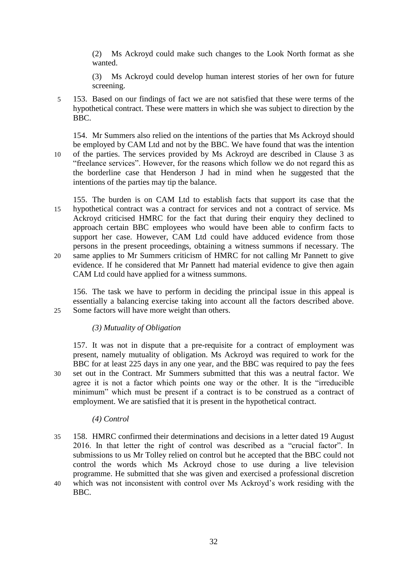(2) Ms Ackroyd could make such changes to the Look North format as she wanted.

(3) Ms Ackroyd could develop human interest stories of her own for future screening.

5 153. Based on our findings of fact we are not satisfied that these were terms of the hypothetical contract. These were matters in which she was subject to direction by the BBC.

154. Mr Summers also relied on the intentions of the parties that Ms Ackroyd should be employed by CAM Ltd and not by the BBC. We have found that was the intention 10 of the parties. The services provided by Ms Ackroyd are described in Clause 3 as

- "freelance services". However, for the reasons which follow we do not regard this as the borderline case that Henderson J had in mind when he suggested that the intentions of the parties may tip the balance.
- 155. The burden is on CAM Ltd to establish facts that support its case that the 15 hypothetical contract was a contract for services and not a contract of service. Ms Ackroyd criticised HMRC for the fact that during their enquiry they declined to approach certain BBC employees who would have been able to confirm facts to support her case. However, CAM Ltd could have adduced evidence from those persons in the present proceedings, obtaining a witness summons if necessary. The 20 same applies to Mr Summers criticism of HMRC for not calling Mr Pannett to give evidence. If he considered that Mr Pannett had material evidence to give then again CAM Ltd could have applied for a witness summons.

156. The task we have to perform in deciding the principal issue in this appeal is essentially a balancing exercise taking into account all the factors described above. 25 Some factors will have more weight than others.

# *(3) Mutuality of Obligation*

157. It was not in dispute that a pre-requisite for a contract of employment was present, namely mutuality of obligation. Ms Ackroyd was required to work for the BBC for at least 225 days in any one year, and the BBC was required to pay the fees 30 set out in the Contract. Mr Summers submitted that this was a neutral factor. We agree it is not a factor which points one way or the other. It is the "irreducible minimum" which must be present if a contract is to be construed as a contract of employment. We are satisfied that it is present in the hypothetical contract.

# *(4) Control*

35 158. HMRC confirmed their determinations and decisions in a letter dated 19 August 2016. In that letter the right of control was described as a "crucial factor". In submissions to us Mr Tolley relied on control but he accepted that the BBC could not control the words which Ms Ackroyd chose to use during a live television programme. He submitted that she was given and exercised a professional discretion 40 which was not inconsistent with control over Ms Ackroyd's work residing with the BBC.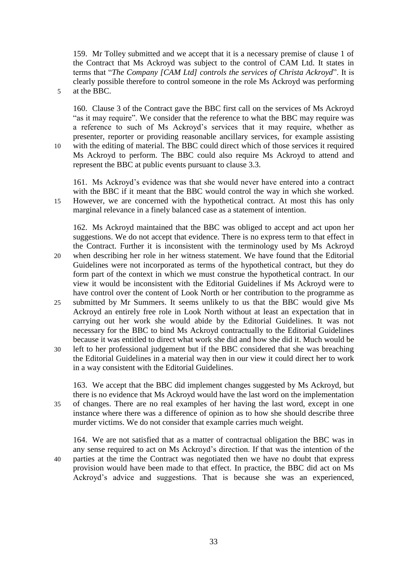159. Mr Tolley submitted and we accept that it is a necessary premise of clause 1 of the Contract that Ms Ackroyd was subject to the control of CAM Ltd. It states in terms that "*The Company [CAM Ltd] controls the services of Christa Ackroyd*". It is clearly possible therefore to control someone in the role Ms Ackroyd was performing 5 at the BBC.

160. Clause 3 of the Contract gave the BBC first call on the services of Ms Ackroyd "as it may require". We consider that the reference to what the BBC may require was a reference to such of Ms Ackroyd's services that it may require, whether as presenter, reporter or providing reasonable ancillary services, for example assisting 10 with the editing of material. The BBC could direct which of those services it required Ms Ackroyd to perform. The BBC could also require Ms Ackroyd to attend and represent the BBC at public events pursuant to clause 3.3.

161. Ms Ackroyd's evidence was that she would never have entered into a contract with the BBC if it meant that the BBC would control the way in which she worked. 15 However, we are concerned with the hypothetical contract. At most this has only marginal relevance in a finely balanced case as a statement of intention.

162. Ms Ackroyd maintained that the BBC was obliged to accept and act upon her suggestions. We do not accept that evidence. There is no express term to that effect in the Contract. Further it is inconsistent with the terminology used by Ms Ackroyd

- 20 when describing her role in her witness statement. We have found that the Editorial Guidelines were not incorporated as terms of the hypothetical contract, but they do form part of the context in which we must construe the hypothetical contract. In our view it would be inconsistent with the Editorial Guidelines if Ms Ackroyd were to have control over the content of Look North or her contribution to the programme as
- 25 submitted by Mr Summers. It seems unlikely to us that the BBC would give Ms Ackroyd an entirely free role in Look North without at least an expectation that in carrying out her work she would abide by the Editorial Guidelines. It was not necessary for the BBC to bind Ms Ackroyd contractually to the Editorial Guidelines because it was entitled to direct what work she did and how she did it. Much would be
- 30 left to her professional judgement but if the BBC considered that she was breaching the Editorial Guidelines in a material way then in our view it could direct her to work in a way consistent with the Editorial Guidelines.

163. We accept that the BBC did implement changes suggested by Ms Ackroyd, but there is no evidence that Ms Ackroyd would have the last word on the implementation 35 of changes. There are no real examples of her having the last word, except in one instance where there was a difference of opinion as to how she should describe three murder victims. We do not consider that example carries much weight.

164. We are not satisfied that as a matter of contractual obligation the BBC was in any sense required to act on Ms Ackroyd's direction. If that was the intention of the 40 parties at the time the Contract was negotiated then we have no doubt that express provision would have been made to that effect. In practice, the BBC did act on Ms Ackroyd's advice and suggestions. That is because she was an experienced,

33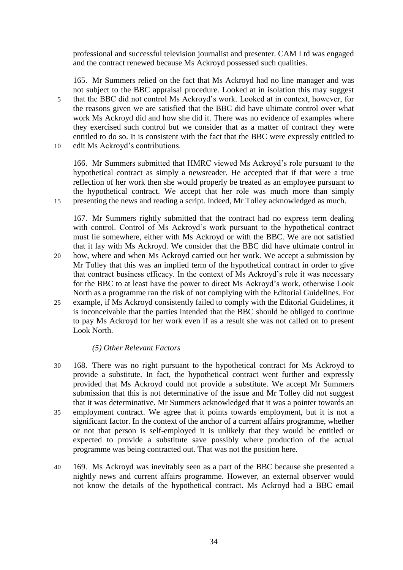professional and successful television journalist and presenter. CAM Ltd was engaged and the contract renewed because Ms Ackroyd possessed such qualities.

165. Mr Summers relied on the fact that Ms Ackroyd had no line manager and was not subject to the BBC appraisal procedure. Looked at in isolation this may suggest 5 that the BBC did not control Ms Ackroyd's work. Looked at in context, however, for the reasons given we are satisfied that the BBC did have ultimate control over what work Ms Ackroyd did and how she did it. There was no evidence of examples where they exercised such control but we consider that as a matter of contract they were entitled to do so. It is consistent with the fact that the BBC were expressly entitled to 10 edit Ms Ackroyd's contributions.

166. Mr Summers submitted that HMRC viewed Ms Ackroyd's role pursuant to the hypothetical contract as simply a newsreader. He accepted that if that were a true reflection of her work then she would properly be treated as an employee pursuant to the hypothetical contract. We accept that her role was much more than simply 15 presenting the news and reading a script. Indeed, Mr Tolley acknowledged as much.

167. Mr Summers rightly submitted that the contract had no express term dealing with control. Control of Ms Ackroyd's work pursuant to the hypothetical contract must lie somewhere, either with Ms Ackroyd or with the BBC. We are not satisfied that it lay with Ms Ackroyd. We consider that the BBC did have ultimate control in

- 20 how, where and when Ms Ackroyd carried out her work. We accept a submission by Mr Tolley that this was an implied term of the hypothetical contract in order to give that contract business efficacy. In the context of Ms Ackroyd's role it was necessary for the BBC to at least have the power to direct Ms Ackroyd's work, otherwise Look North as a programme ran the risk of not complying with the Editorial Guidelines. For
- 25 example, if Ms Ackroyd consistently failed to comply with the Editorial Guidelines, it is inconceivable that the parties intended that the BBC should be obliged to continue to pay Ms Ackroyd for her work even if as a result she was not called on to present Look North.

# *(5) Other Relevant Factors*

- 30 168. There was no right pursuant to the hypothetical contract for Ms Ackroyd to provide a substitute. In fact, the hypothetical contract went further and expressly provided that Ms Ackroyd could not provide a substitute. We accept Mr Summers submission that this is not determinative of the issue and Mr Tolley did not suggest that it was determinative. Mr Summers acknowledged that it was a pointer towards an 35 employment contract. We agree that it points towards employment, but it is not a significant factor. In the context of the anchor of a current affairs programme, whether or not that person is self-employed it is unlikely that they would be entitled or expected to provide a substitute save possibly where production of the actual programme was being contracted out. That was not the position here.
- 40 169. Ms Ackroyd was inevitably seen as a part of the BBC because she presented a nightly news and current affairs programme. However, an external observer would not know the details of the hypothetical contract. Ms Ackroyd had a BBC email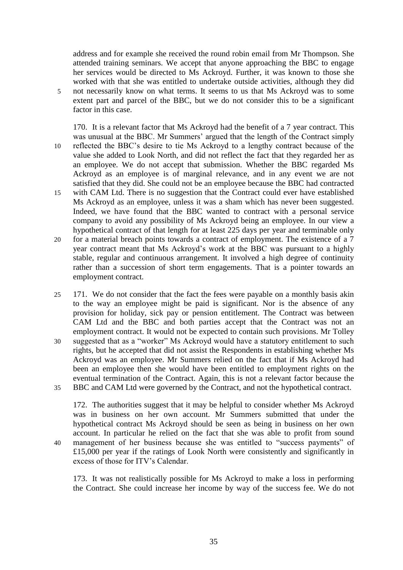address and for example she received the round robin email from Mr Thompson. She attended training seminars. We accept that anyone approaching the BBC to engage her services would be directed to Ms Ackroyd. Further, it was known to those she worked with that she was entitled to undertake outside activities, although they did 5 not necessarily know on what terms. It seems to us that Ms Ackroyd was to some extent part and parcel of the BBC, but we do not consider this to be a significant factor in this case.

170. It is a relevant factor that Ms Ackroyd had the benefit of a 7 year contract. This was unusual at the BBC. Mr Summers' argued that the length of the Contract simply 10 reflected the BBC's desire to tie Ms Ackroyd to a lengthy contract because of the value she added to Look North, and did not reflect the fact that they regarded her as an employee. We do not accept that submission. Whether the BBC regarded Ms Ackroyd as an employee is of marginal relevance, and in any event we are not satisfied that they did. She could not be an employee because the BBC had contracted 15 with CAM Ltd. There is no suggestion that the Contract could ever have established Ms Ackroyd as an employee, unless it was a sham which has never been suggested. Indeed, we have found that the BBC wanted to contract with a personal service company to avoid any possibility of Ms Ackroyd being an employee. In our view a hypothetical contract of that length for at least 225 days per year and terminable only 20 for a material breach points towards a contract of employment. The existence of a 7 year contract meant that Ms Ackroyd's work at the BBC was pursuant to a highly stable, regular and continuous arrangement. It involved a high degree of continuity

rather than a succession of short term engagements. That is a pointer towards an

employment contract.

25 171. We do not consider that the fact the fees were payable on a monthly basis akin to the way an employee might be paid is significant. Nor is the absence of any provision for holiday, sick pay or pension entitlement. The Contract was between CAM Ltd and the BBC and both parties accept that the Contract was not an employment contract. It would not be expected to contain such provisions. Mr Tolley 30 suggested that as a "worker" Ms Ackroyd would have a statutory entitlement to such rights, but he accepted that did not assist the Respondents in establishing whether Ms Ackroyd was an employee. Mr Summers relied on the fact that if Ms Ackroyd had been an employee then she would have been entitled to employment rights on the eventual termination of the Contract. Again, this is not a relevant factor because the 35 BBC and CAM Ltd were governed by the Contract, and not the hypothetical contract.

172. The authorities suggest that it may be helpful to consider whether Ms Ackroyd was in business on her own account. Mr Summers submitted that under the hypothetical contract Ms Ackroyd should be seen as being in business on her own account. In particular he relied on the fact that she was able to profit from sound 40 management of her business because she was entitled to "success payments" of £15,000 per year if the ratings of Look North were consistently and significantly in excess of those for ITV's Calendar.

173. It was not realistically possible for Ms Ackroyd to make a loss in performing the Contract. She could increase her income by way of the success fee. We do not

35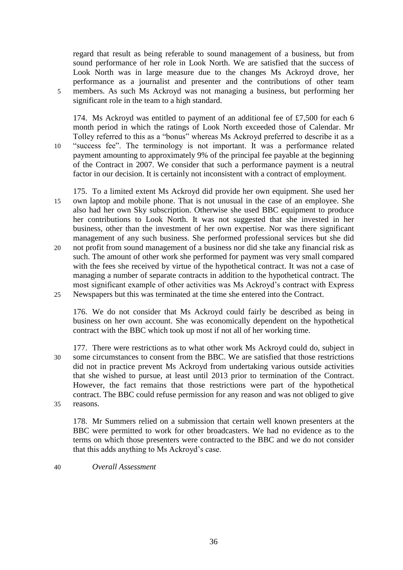regard that result as being referable to sound management of a business, but from sound performance of her role in Look North. We are satisfied that the success of Look North was in large measure due to the changes Ms Ackroyd drove, her performance as a journalist and presenter and the contributions of other team 5 members. As such Ms Ackroyd was not managing a business, but performing her significant role in the team to a high standard.

174. Ms Ackroyd was entitled to payment of an additional fee of £7,500 for each 6 month period in which the ratings of Look North exceeded those of Calendar. Mr Tolley referred to this as a "bonus" whereas Ms Ackroyd preferred to describe it as a 10 "success fee". The terminology is not important. It was a performance related payment amounting to approximately 9% of the principal fee payable at the beginning of the Contract in 2007. We consider that such a performance payment is a neutral factor in our decision. It is certainly not inconsistent with a contract of employment.

175. To a limited extent Ms Ackroyd did provide her own equipment. She used her 15 own laptop and mobile phone. That is not unusual in the case of an employee. She also had her own Sky subscription. Otherwise she used BBC equipment to produce her contributions to Look North. It was not suggested that she invested in her business, other than the investment of her own expertise. Nor was there significant management of any such business. She performed professional services but she did

20 not profit from sound management of a business nor did she take any financial risk as such. The amount of other work she performed for payment was very small compared with the fees she received by virtue of the hypothetical contract. It was not a case of managing a number of separate contracts in addition to the hypothetical contract. The most significant example of other activities was Ms Ackroyd's contract with Express 25 Newspapers but this was terminated at the time she entered into the Contract.

176. We do not consider that Ms Ackroyd could fairly be described as being in business on her own account. She was economically dependent on the hypothetical contract with the BBC which took up most if not all of her working time.

177. There were restrictions as to what other work Ms Ackroyd could do, subject in 30 some circumstances to consent from the BBC. We are satisfied that those restrictions did not in practice prevent Ms Ackroyd from undertaking various outside activities that she wished to pursue, at least until 2013 prior to termination of the Contract. However, the fact remains that those restrictions were part of the hypothetical contract. The BBC could refuse permission for any reason and was not obliged to give 35 reasons.

178. Mr Summers relied on a submission that certain well known presenters at the BBC were permitted to work for other broadcasters. We had no evidence as to the terms on which those presenters were contracted to the BBC and we do not consider that this adds anything to Ms Ackroyd's case.

40 *Overall Assessment*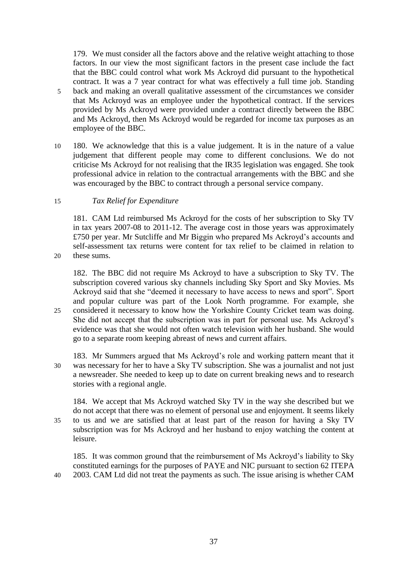179. We must consider all the factors above and the relative weight attaching to those factors. In our view the most significant factors in the present case include the fact that the BBC could control what work Ms Ackroyd did pursuant to the hypothetical contract. It was a 7 year contract for what was effectively a full time job. Standing 5 back and making an overall qualitative assessment of the circumstances we consider that Ms Ackroyd was an employee under the hypothetical contract. If the services provided by Ms Ackroyd were provided under a contract directly between the BBC and Ms Ackroyd, then Ms Ackroyd would be regarded for income tax purposes as an employee of the BBC.

10 180. We acknowledge that this is a value judgement. It is in the nature of a value judgement that different people may come to different conclusions. We do not criticise Ms Ackroyd for not realising that the IR35 legislation was engaged. She took professional advice in relation to the contractual arrangements with the BBC and she was encouraged by the BBC to contract through a personal service company.

# 15 *Tax Relief for Expenditure*

181. CAM Ltd reimbursed Ms Ackroyd for the costs of her subscription to Sky TV in tax years 2007-08 to 2011-12. The average cost in those years was approximately £750 per year. Mr Sutcliffe and Mr Biggin who prepared Ms Ackroyd's accounts and self-assessment tax returns were content for tax relief to be claimed in relation to 20 these sums.

182. The BBC did not require Ms Ackroyd to have a subscription to Sky TV. The subscription covered various sky channels including Sky Sport and Sky Movies. Ms Ackroyd said that she "deemed it necessary to have access to news and sport". Sport and popular culture was part of the Look North programme. For example, she 25 considered it necessary to know how the Yorkshire County Cricket team was doing. She did not accept that the subscription was in part for personal use. Ms Ackroyd's evidence was that she would not often watch television with her husband. She would go to a separate room keeping abreast of news and current affairs.

183. Mr Summers argued that Ms Ackroyd's role and working pattern meant that it 30 was necessary for her to have a Sky TV subscription. She was a journalist and not just a newsreader. She needed to keep up to date on current breaking news and to research stories with a regional angle.

184. We accept that Ms Ackroyd watched Sky TV in the way she described but we do not accept that there was no element of personal use and enjoyment. It seems likely 35 to us and we are satisfied that at least part of the reason for having a Sky TV subscription was for Ms Ackroyd and her husband to enjoy watching the content at leisure.

185. It was common ground that the reimbursement of Ms Ackroyd's liability to Sky constituted earnings for the purposes of PAYE and NIC pursuant to section 62 ITEPA 40 2003. CAM Ltd did not treat the payments as such. The issue arising is whether CAM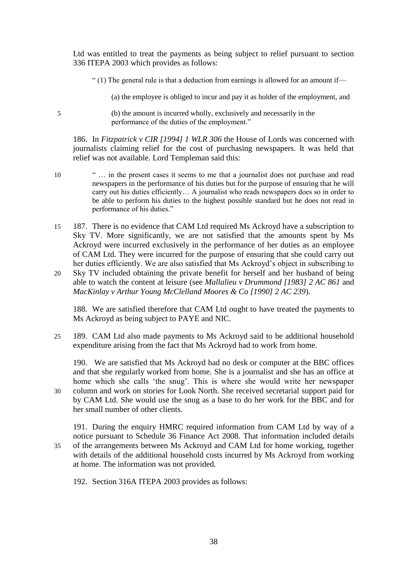Ltd was entitled to treat the payments as being subject to relief pursuant to section 336 ITEPA 2003 which provides as follows:

" $(1)$  The general rule is that a deduction from earnings is allowed for an amount if—

(a) the employee is obliged to incur and pay it as holder of the employment, and

5 (b) the amount is incurred wholly, exclusively and necessarily in the performance of the duties of the employment."

186. In *Fitzpatrick v CIR [1994] 1 WLR 306* the House of Lords was concerned with journalists claiming relief for the cost of purchasing newspapers. It was held that relief was not available. Lord Templeman said this:

- 10 " … in the present cases it seems to me that a journalist does not purchase and read newspapers in the performance of his duties but for the purpose of ensuring that he will carry out his duties efficiently… A journalist who reads newspapers does so in order to be able to perform his duties to the highest possible standard but he does not read in performance of his duties."
- 15 187. There is no evidence that CAM Ltd required Ms Ackroyd have a subscription to Sky TV. More significantly, we are not satisfied that the amounts spent by Ms Ackroyd were incurred exclusively in the performance of her duties as an employee of CAM Ltd. They were incurred for the purpose of ensuring that she could carry out her duties efficiently. We are also satisfied that Ms Ackroyd's object in subscribing to
- 20 Sky TV included obtaining the private benefit for herself and her husband of being able to watch the content at leisure (see *Mallalieu v Drummond [1983] 2 AC 861* and *MacKinlay v Arthur Young McClelland Moores & Co [1990] 2 AC 239*).

188. We are satisfied therefore that CAM Ltd ought to have treated the payments to Ms Ackroyd as being subject to PAYE and NIC.

25 189. CAM Ltd also made payments to Ms Ackroyd said to be additional household expenditure arising from the fact that Ms Ackroyd had to work from home.

190. We are satisfied that Ms Ackroyd had no desk or computer at the BBC offices and that she regularly worked from home. She is a journalist and she has an office at home which she calls 'the snug'. This is where she would write her newspaper 30 column and work on stories for Look North. She received secretarial support paid for by CAM Ltd. She would use the snug as a base to do her work for the BBC and for her small number of other clients.

191. During the enquiry HMRC required information from CAM Ltd by way of a notice pursuant to Schedule 36 Finance Act 2008. That information included details 35 of the arrangements between Ms Ackroyd and CAM Ltd for home working, together with details of the additional household costs incurred by Ms Ackroyd from working at home. The information was not provided.

192. Section 316A ITEPA 2003 provides as follows: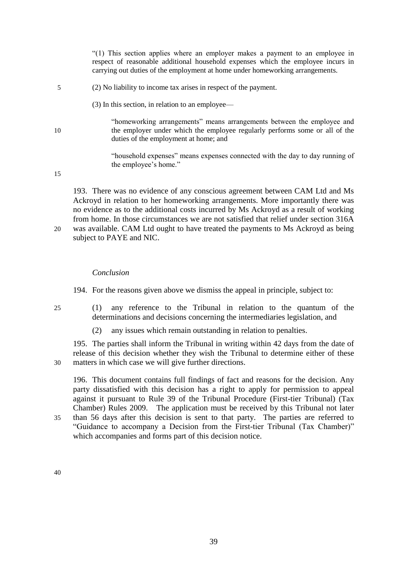"(1) This section applies where an employer makes a payment to an employee in respect of reasonable additional household expenses which the employee incurs in carrying out duties of the employment at home under homeworking arrangements.

- 5 (2) No liability to income tax arises in respect of the payment.
	- (3) In this section, in relation to an employee—
- "homeworking arrangements" means arrangements between the employee and 10 the employer under which the employee regularly performs some or all of the duties of the employment at home; and

"household expenses" means expenses connected with the day to day running of the employee's home."

15

193. There was no evidence of any conscious agreement between CAM Ltd and Ms Ackroyd in relation to her homeworking arrangements. More importantly there was no evidence as to the additional costs incurred by Ms Ackroyd as a result of working from home. In those circumstances we are not satisfied that relief under section 316A 20 was available. CAM Ltd ought to have treated the payments to Ms Ackroyd as being subject to PAYE and NIC.

#### *Conclusion*

194. For the reasons given above we dismiss the appeal in principle, subject to:

- 25 (1) any reference to the Tribunal in relation to the quantum of the determinations and decisions concerning the intermediaries legislation, and
	- (2) any issues which remain outstanding in relation to penalties.

195. The parties shall inform the Tribunal in writing within 42 days from the date of release of this decision whether they wish the Tribunal to determine either of these 30 matters in which case we will give further directions.

196. This document contains full findings of fact and reasons for the decision. Any party dissatisfied with this decision has a right to apply for permission to appeal against it pursuant to Rule 39 of the Tribunal Procedure (First-tier Tribunal) (Tax Chamber) Rules 2009. The application must be received by this Tribunal not later 35 than 56 days after this decision is sent to that party. The parties are referred to "Guidance to accompany a Decision from the First-tier Tribunal (Tax Chamber)" which accompanies and forms part of this decision notice.

40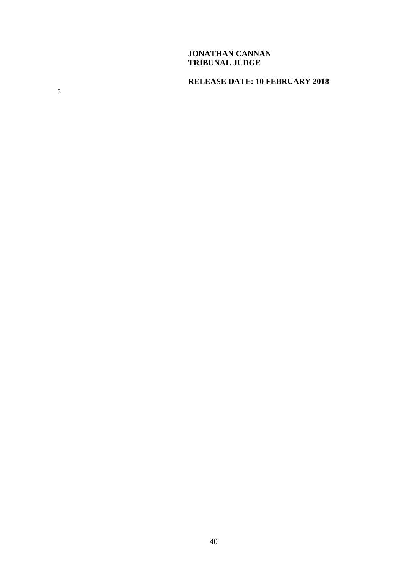# **JONATHAN CANNAN TRIBUNAL JUDGE**

# **RELEASE DATE: 10 FEBRUARY 2018**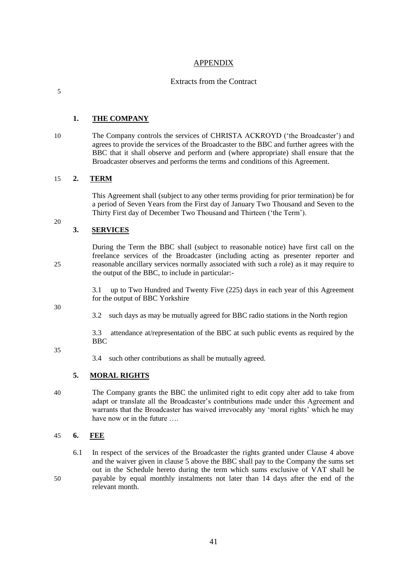#### APPENDIX

#### Extracts from the Contract

5

#### **1. THE COMPANY**

10 The Company controls the services of CHRISTA ACKROYD ('the Broadcaster') and agrees to provide the services of the Broadcaster to the BBC and further agrees with the BBC that it shall observe and perform and (where appropriate) shall ensure that the Broadcaster observes and performs the terms and conditions of this Agreement.

#### 15 **2. TERM**

This Agreement shall (subject to any other terms providing for prior termination) be for a period of Seven Years from the First day of January Two Thousand and Seven to the Thirty First day of December Two Thousand and Thirteen ('the Term').

20

#### **3. SERVICES**

During the Term the BBC shall (subject to reasonable notice) have first call on the freelance services of the Broadcaster (including acting as presenter reporter and 25 reasonable ancillary services normally associated with such a role) as it may require to the output of the BBC, to include in particular:-

> 3.1 up to Two Hundred and Twenty Five (225) days in each year of this Agreement for the output of BBC Yorkshire

30

3.2 such days as may be mutually agreed for BBC radio stations in the North region

3.3 attendance at/representation of the BBC at such public events as required by the **BBC** 

35

3.4 such other contributions as shall be mutually agreed.

#### **5. MORAL RIGHTS**

40 The Company grants the BBC the unlimited right to edit copy alter add to take from adapt or translate all the Broadcaster's contributions made under this Agreement and warrants that the Broadcaster has waived irrevocably any 'moral rights' which he may have now or in the future ....

#### 45 **6. FEE**

6.1 In respect of the services of the Broadcaster the rights granted under Clause 4 above and the waiver given in clause 5 above the BBC shall pay to the Company the sums set out in the Schedule hereto during the term which sums exclusive of VAT shall be 50 payable by equal monthly instalments not later than 14 days after the end of the relevant month.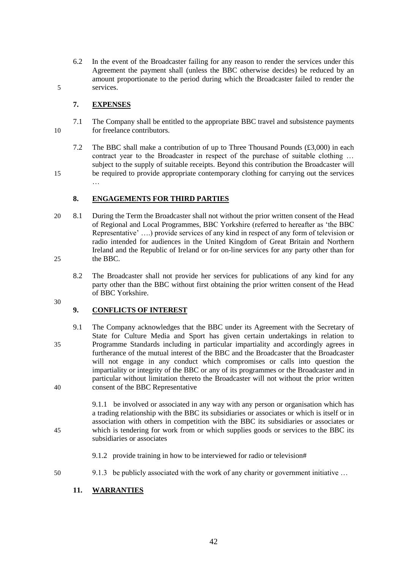6.2 In the event of the Broadcaster failing for any reason to render the services under this Agreement the payment shall (unless the BBC otherwise decides) be reduced by an amount proportionate to the period during which the Broadcaster failed to render the 5 services.

#### **7. EXPENSES**

…

- 7.1 The Company shall be entitled to the appropriate BBC travel and subsistence payments 10 for freelance contributors.
- 7.2 The BBC shall make a contribution of up to Three Thousand Pounds (£3,000) in each contract year to the Broadcaster in respect of the purchase of suitable clothing … subject to the supply of suitable receipts. Beyond this contribution the Broadcaster will 15 be required to provide appropriate contemporary clothing for carrying out the services

**8. ENGAGEMENTS FOR THIRD PARTIES**

- 20 8.1 During the Term the Broadcaster shall not without the prior written consent of the Head of Regional and Local Programmes, BBC Yorkshire (referred to hereafter as 'the BBC Representative' ….) provide services of any kind in respect of any form of television or radio intended for audiences in the United Kingdom of Great Britain and Northern Ireland and the Republic of Ireland or for on-line services for any party other than for 25 the BBC.
	- 8.2 The Broadcaster shall not provide her services for publications of any kind for any party other than the BBC without first obtaining the prior written consent of the Head of BBC Yorkshire.
- 30

# **9. CONFLICTS OF INTEREST**

9.1 The Company acknowledges that the BBC under its Agreement with the Secretary of State for Culture Media and Sport has given certain undertakings in relation to 35 Programme Standards including in particular impartiality and accordingly agrees in furtherance of the mutual interest of the BBC and the Broadcaster that the Broadcaster will not engage in any conduct which compromises or calls into question the impartiality or integrity of the BBC or any of its programmes or the Broadcaster and in particular without limitation thereto the Broadcaster will not without the prior written 40 consent of the BBC Representative

9.1.1 be involved or associated in any way with any person or organisation which has a trading relationship with the BBC its subsidiaries or associates or which is itself or in association with others in competition with the BBC its subsidiaries or associates or 45 which is tendering for work from or which supplies goods or services to the BBC its subsidiaries or associates

- 9.1.2 provide training in how to be interviewed for radio or television#
- 50 9.1.3 be publicly associated with the work of any charity or government initiative …

# **11. WARRANTIES**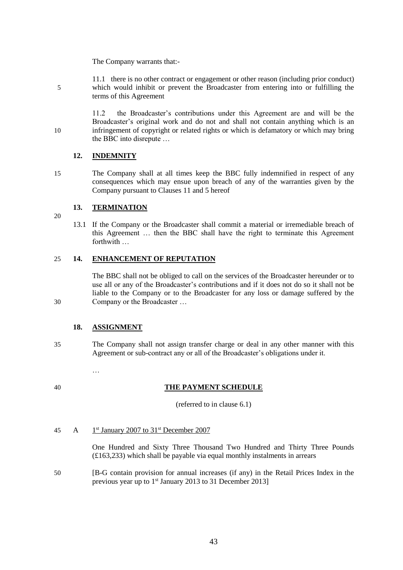The Company warrants that:-

11.1 there is no other contract or engagement or other reason (including prior conduct) 5 which would inhibit or prevent the Broadcaster from entering into or fulfilling the terms of this Agreement

11.2 the Broadcaster's contributions under this Agreement are and will be the Broadcaster's original work and do not and shall not contain anything which is an 10 infringement of copyright or related rights or which is defamatory or which may bring the BBC into disrepute …

#### **12. INDEMNITY**

15 The Company shall at all times keep the BBC fully indemnified in respect of any consequences which may ensue upon breach of any of the warranties given by the Company pursuant to Clauses 11 and 5 hereof

#### **13. TERMINATION**

- 20
- 13.1 If the Company or the Broadcaster shall commit a material or irremediable breach of this Agreement … then the BBC shall have the right to terminate this Agreement forthwith …

#### 25 **14. ENHANCEMENT OF REPUTATION**

The BBC shall not be obliged to call on the services of the Broadcaster hereunder or to use all or any of the Broadcaster's contributions and if it does not do so it shall not be liable to the Company or to the Broadcaster for any loss or damage suffered by the 30 Company or the Broadcaster …

#### **18. ASSIGNMENT**

…

- 35 The Company shall not assign transfer charge or deal in any other manner with this Agreement or sub-contract any or all of the Broadcaster's obligations under it.
- 

#### 40 **THE PAYMENT SCHEDULE**

(referred to in clause 6.1)

 $\overline{A}$ 45 A 1<sup>st</sup> January 2007 to 31<sup>st</sup> December 2007

> One Hundred and Sixty Three Thousand Two Hundred and Thirty Three Pounds (£163,233) which shall be payable via equal monthly instalments in arrears

50 [B-G contain provision for annual increases (if any) in the Retail Prices Index in the previous year up to  $1<sup>st</sup>$  January 2013 to 31 December 2013]